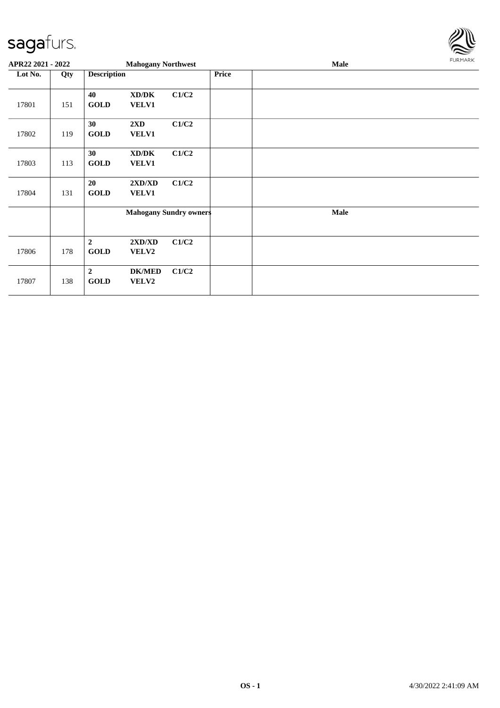

| APR22 2021 - 2022 |     |                                 | <b>Mahogany Northwest</b>               |                               |              | Male | FURMARK |
|-------------------|-----|---------------------------------|-----------------------------------------|-------------------------------|--------------|------|---------|
| Lot No.           | Qty | <b>Description</b>              |                                         |                               | <b>Price</b> |      |         |
| 17801             | 151 | 40<br><b>GOLD</b>               | XD/DK<br><b>VELV1</b>                   | C1/C2                         |              |      |         |
| 17802             | 119 | 30<br><b>GOLD</b>               | $2\mathbf{X}\mathbf{D}$<br><b>VELV1</b> | C1/C2                         |              |      |         |
| 17803             | 113 | 30<br><b>GOLD</b>               | XD/DK<br><b>VELV1</b>                   | C1/C2                         |              |      |         |
| 17804             | 131 | 20<br><b>GOLD</b>               | 2XD/XD<br><b>VELV1</b>                  | C1/C2                         |              |      |         |
|                   |     |                                 |                                         | <b>Mahogany Sundry owners</b> |              | Male |         |
| 17806             | 178 | $\boldsymbol{2}$<br><b>GOLD</b> | 2XD/XD<br><b>VELV2</b>                  | C1/C2                         |              |      |         |
| 17807             | 138 | $\boldsymbol{2}$<br><b>GOLD</b> | <b>DK/MED</b><br>VELV2                  | C1/C2                         |              |      |         |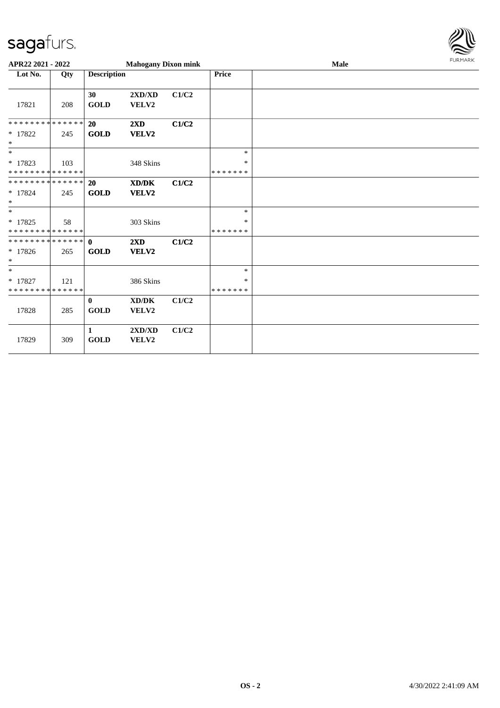

| APR22 2021 - 2022                        |     |                             | <b>Mahogany Dixon mink</b>       |       |                         | Male | <b>FURMARK</b> |
|------------------------------------------|-----|-----------------------------|----------------------------------|-------|-------------------------|------|----------------|
| Lot No.                                  | Qty | <b>Description</b>          |                                  |       | Price                   |      |                |
| 17821                                    | 208 | 30<br><b>GOLD</b>           | 2XD/XD<br>VELV2                  | C1/C2 |                         |      |                |
| **************                           |     | 20                          | $2\mathbf{X}\mathbf{D}$          | C1/C2 |                         |      |                |
| * 17822<br>$\ast$                        | 245 | <b>GOLD</b>                 | VELV2                            |       |                         |      |                |
| $*$                                      |     |                             |                                  |       | $\ast$                  |      |                |
| $* 17823$<br>* * * * * * * * * * * * * * | 103 |                             | 348 Skins                        |       | ∗<br>* * * * * * *      |      |                |
| * * * * * * * * * * * * * *              |     | 20                          | XD/DK                            | C1/C2 |                         |      |                |
| * 17824<br>$\ast$                        | 245 | <b>GOLD</b>                 | VELV2                            |       |                         |      |                |
| $*$                                      |     |                             |                                  |       | $\ast$                  |      |                |
| $* 17825$<br>* * * * * * * * * * * * * * | 58  |                             | 303 Skins                        |       | $\ast$<br>* * * * * * * |      |                |
| **************<br>$* 17826$<br>$\ast$    | 265 | $\mathbf{0}$<br><b>GOLD</b> | $2\mathbf{X}\mathbf{D}$<br>VELV2 | C1/C2 |                         |      |                |
| $*$                                      |     |                             |                                  |       | $\ast$                  |      |                |
| * 17827<br>* * * * * * * * * * * * * *   | 121 |                             | 386 Skins                        |       | *<br>* * * * * * *      |      |                |
| 17828                                    | 285 | $\bf{0}$<br><b>GOLD</b>     | XD/DK<br>VELV2                   | C1/C2 |                         |      |                |
| 17829                                    | 309 | 1<br><b>GOLD</b>            | 2XD/XD<br>VELV2                  | C1/C2 |                         |      |                |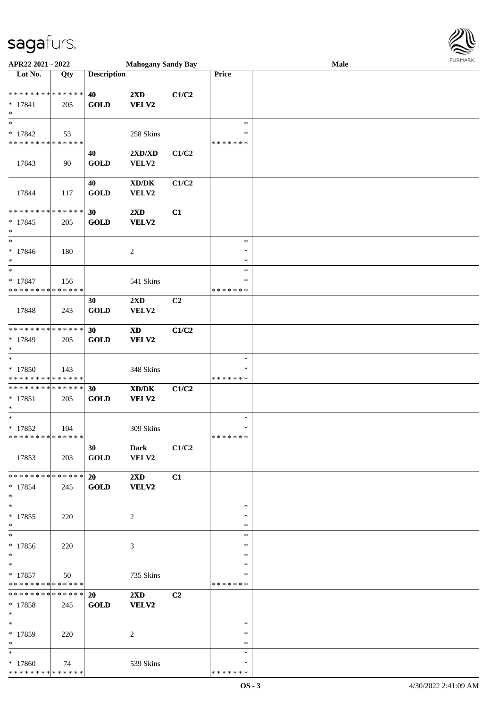

| APR22 2021 - 2022                        |     |                    | <b>Mahogany Sandy Bay</b>                                   |       |               | Male |  |
|------------------------------------------|-----|--------------------|-------------------------------------------------------------|-------|---------------|------|--|
| Lot No.                                  | Qty | <b>Description</b> |                                                             |       | Price         |      |  |
|                                          |     |                    |                                                             |       |               |      |  |
| **************                           |     | 40                 | 2XD                                                         | C1/C2 |               |      |  |
| $* 17841$                                | 205 | <b>GOLD</b>        | VELV2                                                       |       |               |      |  |
| $\ast$                                   |     |                    |                                                             |       |               |      |  |
| $\ast$                                   |     |                    |                                                             |       | $\ast$        |      |  |
| $* 17842$                                | 53  |                    | 258 Skins                                                   |       | ∗             |      |  |
| * * * * * * * * * * * * * *              |     |                    |                                                             |       | * * * * * * * |      |  |
|                                          |     |                    |                                                             |       |               |      |  |
|                                          |     | 40                 | 2XD/XD                                                      | C1/C2 |               |      |  |
| 17843                                    | 90  | <b>GOLD</b>        | VELV2                                                       |       |               |      |  |
|                                          |     |                    |                                                             |       |               |      |  |
|                                          |     | 40                 | $\bold{X}\bold{D}/\bold{D}\bold{K}$                         | C1/C2 |               |      |  |
| 17844                                    | 117 | <b>GOLD</b>        | VELV2                                                       |       |               |      |  |
|                                          |     |                    |                                                             |       |               |      |  |
| ******** <mark>******</mark>             |     | 30                 | $2\mathbf{X}\mathbf{D}$                                     | C1    |               |      |  |
| $* 17845$                                | 205 | <b>GOLD</b>        | <b>VELV2</b>                                                |       |               |      |  |
| $\ast$                                   |     |                    |                                                             |       |               |      |  |
| $\ast$                                   |     |                    |                                                             |       | $\ast$        |      |  |
| $* 17846$                                | 180 |                    | $\boldsymbol{2}$                                            |       | $\ast$        |      |  |
| $\ast$                                   |     |                    |                                                             |       | $\ast$        |      |  |
| $\ast$                                   |     |                    |                                                             |       | $\ast$        |      |  |
|                                          |     |                    |                                                             |       |               |      |  |
| $* 17847$                                | 156 |                    | 541 Skins                                                   |       | $\ast$        |      |  |
| * * * * * * * * * * * * * *              |     |                    |                                                             |       | * * * * * * * |      |  |
|                                          |     | 30                 | $2\mathbf{X}\mathbf{D}$                                     | C2    |               |      |  |
| 17848                                    | 243 | <b>GOLD</b>        | VELV2                                                       |       |               |      |  |
|                                          |     |                    |                                                             |       |               |      |  |
| * * * * * * * * * * * * * *              |     | 30                 | $\boldsymbol{\mathrm{XD}}$                                  | C1/C2 |               |      |  |
| * 17849                                  | 205 | <b>GOLD</b>        | VELV2                                                       |       |               |      |  |
| $\ast$                                   |     |                    |                                                             |       |               |      |  |
| $\ast$                                   |     |                    |                                                             |       | $\ast$        |      |  |
| * 17850                                  | 143 |                    | 348 Skins                                                   |       | ∗             |      |  |
| * * * * * * * * * * * * * *              |     |                    |                                                             |       | * * * * * * * |      |  |
| **************                           |     | 30                 | $\boldsymbol{\text{X} \text{D} \text{/} \text{D} \text{K}}$ | C1/C2 |               |      |  |
| $* 17851$                                |     |                    |                                                             |       |               |      |  |
| $\ast$                                   | 205 | <b>GOLD</b>        | <b>VELV2</b>                                                |       |               |      |  |
| $\ast$                                   |     |                    |                                                             |       | $\ast$        |      |  |
|                                          |     |                    |                                                             |       | $\ast$        |      |  |
| $* 17852$                                | 104 |                    | 309 Skins                                                   |       |               |      |  |
| **************                           |     |                    |                                                             |       | * * * * * * * |      |  |
|                                          |     | 30                 | <b>Dark</b>                                                 | C1/C2 |               |      |  |
| 17853                                    | 203 | <b>GOLD</b>        | VELV2                                                       |       |               |      |  |
|                                          |     |                    |                                                             |       |               |      |  |
| * * * * * * * * * * * * * * *            |     | 20                 | $2\mathbf{X}\mathbf{D}$                                     | C1    |               |      |  |
| $* 17854$                                | 245 | <b>GOLD</b>        | VELV2                                                       |       |               |      |  |
| $*$                                      |     |                    |                                                             |       |               |      |  |
| $\ast$                                   |     |                    |                                                             |       | $\ast$        |      |  |
| $* 17855$                                | 220 |                    | 2                                                           |       | $\ast$        |      |  |
| $*$                                      |     |                    |                                                             |       | $\ast$        |      |  |
| $\ast$                                   |     |                    |                                                             |       | $\ast$        |      |  |
| * 17856                                  | 220 |                    | 3                                                           |       | ∗             |      |  |
| $*$                                      |     |                    |                                                             |       | $\ast$        |      |  |
| $*$                                      |     |                    |                                                             |       | $\ast$        |      |  |
|                                          |     |                    |                                                             |       | ∗             |      |  |
| $* 17857$<br>* * * * * * * * * * * * * * | 50  |                    | 735 Skins                                                   |       | *******       |      |  |
|                                          |     |                    |                                                             |       |               |      |  |
| ******** <mark>******</mark>             |     | 20                 | $2\mathbf{X}\mathbf{D}$                                     | C2    |               |      |  |
| $* 17858$                                | 245 | <b>GOLD</b>        | VELV2                                                       |       |               |      |  |
| $*$                                      |     |                    |                                                             |       |               |      |  |
| $*$                                      |     |                    |                                                             |       | $\ast$        |      |  |
| * 17859                                  | 220 |                    | 2                                                           |       | ∗             |      |  |
| $\ast$                                   |     |                    |                                                             |       | $\ast$        |      |  |
| $*$                                      |     |                    |                                                             |       | $\ast$        |      |  |
| * 17860                                  | 74  |                    | 539 Skins                                                   |       | ∗             |      |  |
| * * * * * * * * * * * * * *              |     |                    |                                                             |       | * * * * * * * |      |  |
|                                          |     |                    |                                                             |       |               |      |  |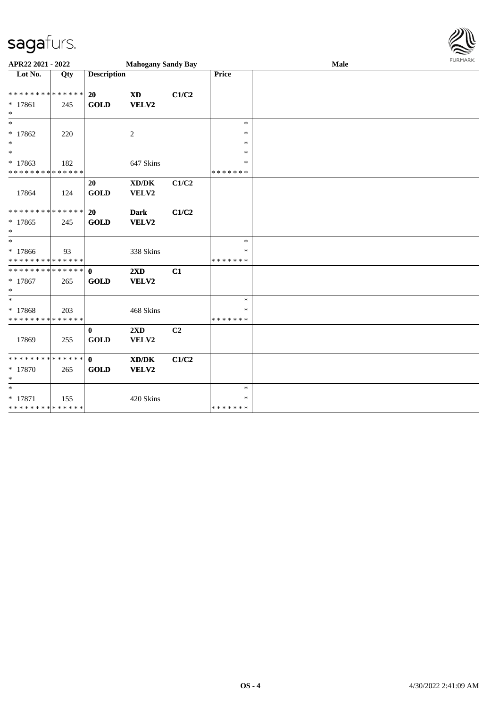

| APR22 2021 - 2022                                 |     |                    | <b>Mahogany Sandy Bay</b>                            |       |               | <b>FURMARK</b><br>Male |  |  |
|---------------------------------------------------|-----|--------------------|------------------------------------------------------|-------|---------------|------------------------|--|--|
| $\overline{\phantom{1}}$ Lot No.                  | Qty | <b>Description</b> |                                                      |       | <b>Price</b>  |                        |  |  |
| * * * * * * * * * * * * * * *                     |     | 20                 | <b>XD</b>                                            | C1/C2 |               |                        |  |  |
| $* 17861$<br>$\ast$                               | 245 | <b>GOLD</b>        | VELV2                                                |       |               |                        |  |  |
| $\ast$                                            |     |                    |                                                      |       | $\ast$        |                        |  |  |
| * 17862<br>$\ast$                                 | 220 |                    | $\overline{c}$                                       |       | $\ast$<br>*   |                        |  |  |
| $\ast$                                            |     |                    |                                                      |       | $\ast$        |                        |  |  |
| $* 17863$                                         | 182 |                    | 647 Skins                                            |       | $\ast$        |                        |  |  |
| * * * * * * * * * * * * * *                       |     |                    |                                                      |       | * * * * * * * |                        |  |  |
| 17864                                             | 124 | 20<br><b>GOLD</b>  | $\mathbf{X}\mathbf{D}/\mathbf{D}\mathbf{K}$<br>VELV2 | C1/C2 |               |                        |  |  |
| ******** <mark>******</mark>                      |     | 20                 | <b>Dark</b>                                          | C1/C2 |               |                        |  |  |
| * 17865                                           | 245 | <b>GOLD</b>        | VELV2                                                |       |               |                        |  |  |
| $\ast$                                            |     |                    |                                                      |       |               |                        |  |  |
| $*$                                               |     |                    |                                                      |       | $\ast$        |                        |  |  |
| * 17866                                           | 93  |                    | 338 Skins                                            |       | $\ast$        |                        |  |  |
| * * * * * * * * * * * * * * *<br>************** 0 |     |                    |                                                      |       | * * * * * * * |                        |  |  |
|                                                   |     | <b>GOLD</b>        | $2\mathbf{X}\mathbf{D}$<br>VELV2                     | C1    |               |                        |  |  |
| * 17867<br>$\ast$                                 | 265 |                    |                                                      |       |               |                        |  |  |
| $\ast$                                            |     |                    |                                                      |       | $\ast$        |                        |  |  |
| * 17868                                           | 203 |                    | 468 Skins                                            |       | *             |                        |  |  |
| * * * * * * * * * * * * * * *                     |     |                    |                                                      |       | * * * * * * * |                        |  |  |
|                                                   |     | $\bf{0}$           | 2XD                                                  | C2    |               |                        |  |  |
| 17869                                             | 255 | <b>GOLD</b>        | VELV2                                                |       |               |                        |  |  |
| **************                                    |     | $\mathbf{0}$       | $\mathbf{X}\mathbf{D}/\mathbf{D}\mathbf{K}$          | C1/C2 |               |                        |  |  |
| $* 17870$                                         | 265 | <b>GOLD</b>        | VELV2                                                |       |               |                        |  |  |
| $\ast$                                            |     |                    |                                                      |       |               |                        |  |  |
| $\ast$                                            |     |                    |                                                      |       | $\ast$        |                        |  |  |
| $* 17871$                                         | 155 |                    | 420 Skins                                            |       | $\ast$        |                        |  |  |
| **************                                    |     |                    |                                                      |       | * * * * * * * |                        |  |  |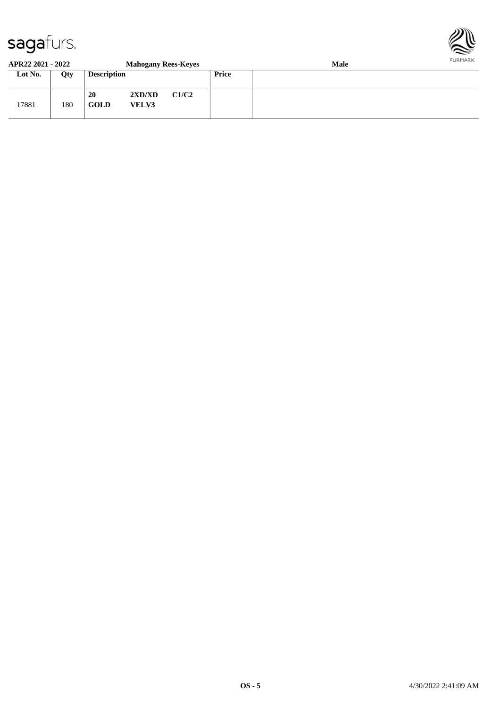

#### **APR22 2021 - 2022 Mahogany Rees-Keyes Male Lot No. Qty Description Price** 17881 180 **20 2XD/XD C1/C2 GOLD VELV3**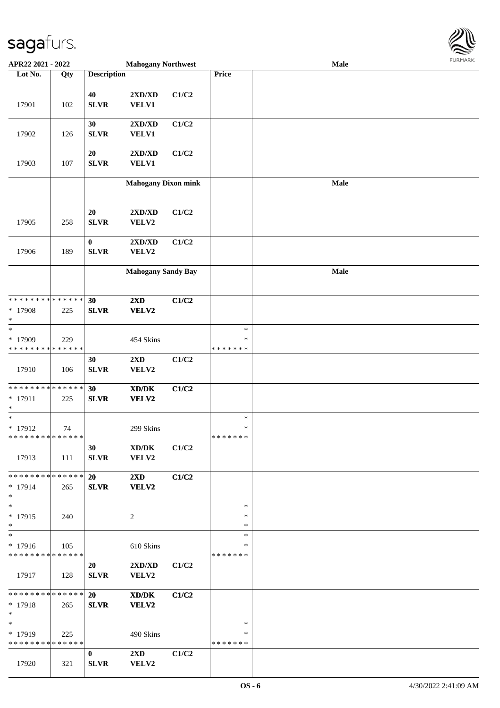

| APR22 2021 - 2022                          |             |                    | <b>Mahogany Northwest</b>                                   |       |               | Male |  |
|--------------------------------------------|-------------|--------------------|-------------------------------------------------------------|-------|---------------|------|--|
| Lot No.                                    | Qty         | <b>Description</b> |                                                             |       | Price         |      |  |
|                                            |             |                    |                                                             |       |               |      |  |
| 17901                                      | 102         | 40<br><b>SLVR</b>  | 2XD/XD<br><b>VELV1</b>                                      | C1/C2 |               |      |  |
|                                            |             |                    |                                                             |       |               |      |  |
| 17902                                      | 126         | 30<br><b>SLVR</b>  | 2XD/XD<br><b>VELV1</b>                                      | C1/C2 |               |      |  |
|                                            |             | $20\,$             | 2XD/XD                                                      | C1/C2 |               |      |  |
| 17903                                      | 107         | <b>SLVR</b>        | VELV1                                                       |       |               |      |  |
|                                            |             |                    | <b>Mahogany Dixon mink</b>                                  |       |               | Male |  |
|                                            |             | 20                 | 2XD/XD                                                      | C1/C2 |               |      |  |
| 17905                                      | 258         | <b>SLVR</b>        | VELV2                                                       |       |               |      |  |
|                                            |             | $\bf{0}$           | 2XD/XD                                                      | C1/C2 |               |      |  |
| 17906                                      | 189         | <b>SLVR</b>        | VELV2                                                       |       |               |      |  |
|                                            |             |                    | <b>Mahogany Sandy Bay</b>                                   |       |               | Male |  |
|                                            |             |                    |                                                             |       |               |      |  |
| * * * * * * * * * * * * * * *              |             | 30                 | 2XD                                                         | C1/C2 |               |      |  |
| * 17908                                    | 225         | <b>SLVR</b>        | VELV2                                                       |       |               |      |  |
| $\ast$                                     |             |                    |                                                             |       |               |      |  |
| $\ast$                                     |             |                    |                                                             |       | $\ast$        |      |  |
| * 17909                                    | 229         |                    | 454 Skins                                                   |       | ∗             |      |  |
| * * * * * * * *                            | * * * * * * |                    |                                                             |       | * * * * * * * |      |  |
|                                            |             | 30                 | $2{\bf X}{\bf D}$                                           | C1/C2 |               |      |  |
| 17910                                      | 106         | SLVR               | VELV2                                                       |       |               |      |  |
|                                            |             |                    |                                                             |       |               |      |  |
| * * * * * * * * <mark>* * * * * *</mark>   |             | 30                 | $\boldsymbol{\text{X} \text{D} \text{/} \text{D} \text{K}}$ | C1/C2 |               |      |  |
| $* 17911$                                  | 225         | <b>SLVR</b>        | VELV2                                                       |       |               |      |  |
| $\ast$                                     |             |                    |                                                             |       |               |      |  |
| $\ast$                                     |             |                    |                                                             |       | $\ast$        |      |  |
| $* 17912$                                  | 74          |                    | 299 Skins                                                   |       | $\ast$        |      |  |
| * * * * * * * * <mark>* * * * * * *</mark> |             |                    |                                                             |       | *******       |      |  |
|                                            |             | 30                 | XD/DK                                                       | C1/C2 |               |      |  |
| 17913                                      | 111         | <b>SLVR</b>        | VELV2                                                       |       |               |      |  |
|                                            |             |                    |                                                             |       |               |      |  |
| * * * * * * * * * * * * * * *              |             | 20                 | $2\mathbf{X}\mathbf{D}$                                     | C1/C2 |               |      |  |
| $* 17914$                                  | 265         | <b>SLVR</b>        | VELV2                                                       |       |               |      |  |
| $*$                                        |             |                    |                                                             |       |               |      |  |
| $*$                                        |             |                    |                                                             |       | $\ast$        |      |  |
| $* 17915$                                  | 240         |                    | 2                                                           |       | ∗             |      |  |
| $*$                                        |             |                    |                                                             |       | $\ast$        |      |  |
| $_{*}$                                     |             |                    |                                                             |       | $\ast$        |      |  |
| $* 17916$                                  | 105         |                    | 610 Skins                                                   |       | ∗             |      |  |
| * * * * * * * * * * * * * *                |             |                    |                                                             |       | *******       |      |  |
|                                            |             | 20                 | $2{\bf X}{\bf D}/{\bf X}{\bf D}$                            | C1/C2 |               |      |  |
| 17917                                      | 128         | <b>SLVR</b>        | VELV2                                                       |       |               |      |  |
|                                            |             |                    |                                                             |       |               |      |  |
| ******** <mark>******</mark>               |             | <b>20</b>          | XD/DK                                                       | C1/C2 |               |      |  |
| $* 17918$                                  | 265         | <b>SLVR</b>        | VELV2                                                       |       |               |      |  |
| $*$                                        |             |                    |                                                             |       |               |      |  |
| $*$                                        |             |                    |                                                             |       | $\ast$        |      |  |
| * 17919                                    | 225         |                    | 490 Skins                                                   |       | ∗             |      |  |
| * * * * * * * * * * * * * * *              |             |                    |                                                             |       | *******       |      |  |
|                                            |             | $\bf{0}$           | $2\mathbf{X}\mathbf{D}$                                     | C1/C2 |               |      |  |
| 17920                                      | 321         | <b>SLVR</b>        | VELV2                                                       |       |               |      |  |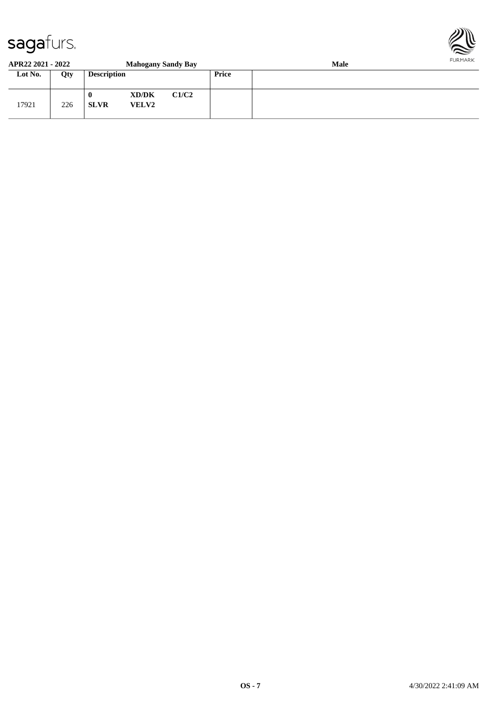

#### **APR22 2021 - 2022 Mahogany Sandy Bay Male Lot No. Qty Description Price** 17921 226 **0 XD/DK C1/C2 SLVR VELV2**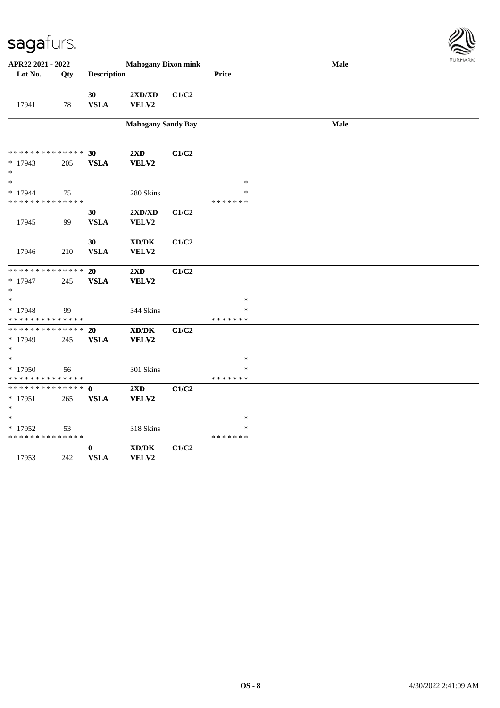

| APR22 2021 - 2022                                 |     |                            | <b>Mahogany Dixon mink</b>                   |       |                                   | Male | <b>FURMARK</b> |
|---------------------------------------------------|-----|----------------------------|----------------------------------------------|-------|-----------------------------------|------|----------------|
| Lot No.                                           | Qty | <b>Description</b>         |                                              |       | Price                             |      |                |
| 17941                                             | 78  | 30<br><b>VSLA</b>          | $2{\bf X}{\bf D}/{\bf X}{\bf D}$<br>VELV2    | C1/C2 |                                   |      |                |
|                                                   |     |                            | <b>Mahogany Sandy Bay</b>                    |       |                                   | Male |                |
| * * * * * * * * * * * * * *<br>$*17943$<br>$*$    | 205 | 30<br><b>VSLA</b>          | $2\mathbf{X}\mathbf{D}$<br>VELV2             | C1/C2 |                                   |      |                |
| $\ast$<br>$*17944$<br>* * * * * * * * * * * * * * | 75  |                            | 280 Skins                                    |       | $\ast$<br>∗<br>* * * * * * *      |      |                |
| 17945                                             | 99  | 30<br><b>VSLA</b>          | 2XD/XD<br>VELV2                              | C1/C2 |                                   |      |                |
| 17946                                             | 210 | 30<br><b>VSLA</b>          | $\bold{X}\bold{D}/\bold{D}\bold{K}$<br>VELV2 | C1/C2 |                                   |      |                |
| * * * * * * * * * * * * * *<br>* 17947<br>$\ast$  | 245 | 20<br><b>VSLA</b>          | 2XD<br>VELV2                                 | C1/C2 |                                   |      |                |
| $*$<br>$* 17948$<br>* * * * * * * * * * * * * *   | 99  |                            | 344 Skins                                    |       | $\ast$<br>∗<br>* * * * * * *      |      |                |
| * * * * * * * * * * * * * *<br>* 17949<br>$\ast$  | 245 | 20<br><b>VSLA</b>          | XD/DK<br>VELV2                               | C1/C2 |                                   |      |                |
| $\ast$<br>$*17950$<br>* * * * * * * * * * * * * * | 56  |                            | 301 Skins                                    |       | $\ast$<br>$\ast$<br>* * * * * * * |      |                |
| * * * * * * * * * * * * * * *<br>* 17951<br>$*$   | 265 | $\mathbf 0$<br><b>VSLA</b> | $2\mathbf{X}\mathbf{D}$<br>VELV2             | C1/C2 |                                   |      |                |
| $*$<br>* 17952<br>* * * * * * * * * * * * * *     | 53  |                            | 318 Skins                                    |       | $\ast$<br>∗<br>* * * * * * *      |      |                |
| 17953                                             | 242 | $\bf{0}$<br><b>VSLA</b>    | $\bold{X}\bold{D}/\bold{D}\bold{K}$<br>VELV2 | C1/C2 |                                   |      |                |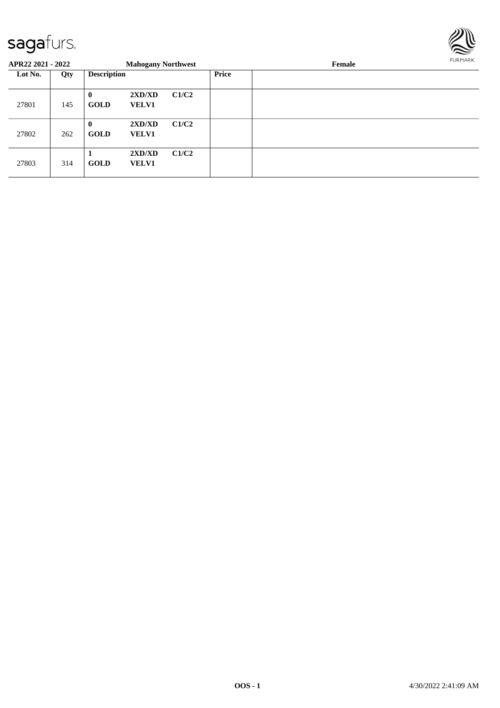

| APR22 2021 - 2022 |     |                         | <b>Mahogany Northwest</b> |       |       | Female |  |  |
|-------------------|-----|-------------------------|---------------------------|-------|-------|--------|--|--|
| Lot No.           | Qty | <b>Description</b>      |                           |       | Price |        |  |  |
| 27801             | 145 | $\bf{0}$<br><b>GOLD</b> | 2XD/XD<br><b>VELV1</b>    | C1/C2 |       |        |  |  |
| 27802             | 262 | $\bf{0}$<br><b>GOLD</b> | 2XD/XD<br><b>VELV1</b>    | C1/C2 |       |        |  |  |
| 27803             | 314 | <b>GOLD</b>             | 2XD/XD<br><b>VELV1</b>    | C1/C2 |       |        |  |  |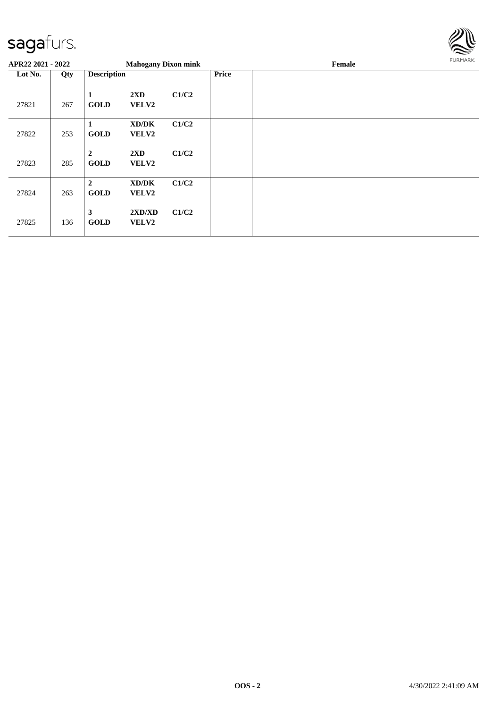

| APR22 2021 - 2022 |     |                                 | <b>Mahogany Dixon mink</b>       |       |              | Female | FURMARK |
|-------------------|-----|---------------------------------|----------------------------------|-------|--------------|--------|---------|
| Lot No.           | Qty | <b>Description</b>              |                                  |       | <b>Price</b> |        |         |
| 27821             | 267 | 1<br><b>GOLD</b>                | $2\mathbf{X}\mathbf{D}$<br>VELV2 | C1/C2 |              |        |         |
| 27822             | 253 | 1<br><b>GOLD</b>                | XD/DK<br>VELV2                   | C1/C2 |              |        |         |
| 27823             | 285 | $\mathbf{2}$<br><b>GOLD</b>     | $2\mathbf{X}\mathbf{D}$<br>VELV2 | C1/C2 |              |        |         |
| 27824             | 263 | $\boldsymbol{2}$<br><b>GOLD</b> | XD/DK<br><b>VELV2</b>            | C1/C2 |              |        |         |
| 27825             | 136 | 3<br><b>GOLD</b>                | 2XD/XD<br><b>VELV2</b>           | C1/C2 |              |        |         |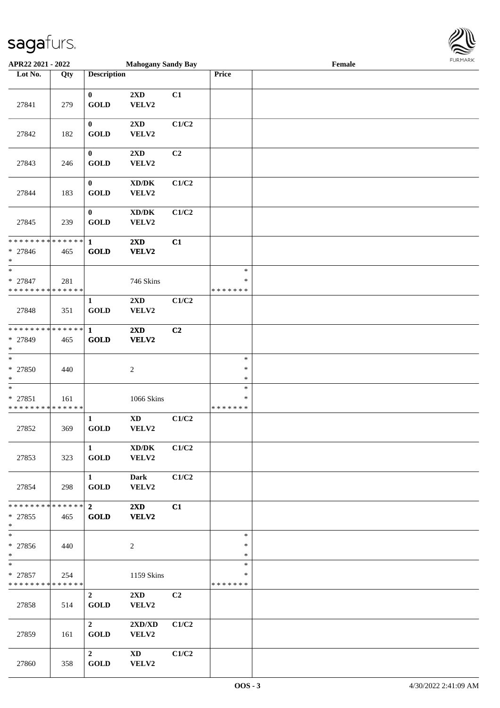

| APR22 2021 - 2022                                |     |                                       | <b>Mahogany Sandy Bay</b>                    |                |                                   | Female |  |
|--------------------------------------------------|-----|---------------------------------------|----------------------------------------------|----------------|-----------------------------------|--------|--|
| Lot No.                                          | Qty | <b>Description</b>                    |                                              |                | Price                             |        |  |
| 27841                                            | 279 | $\bf{0}$<br><b>GOLD</b>               | 2XD<br>VELV2                                 | C1             |                                   |        |  |
| 27842                                            | 182 | $\bf{0}$<br><b>GOLD</b>               | 2XD<br>VELV2                                 | C1/C2          |                                   |        |  |
| 27843                                            | 246 | $\bf{0}$<br><b>GOLD</b>               | 2XD<br>VELV2                                 | C <sub>2</sub> |                                   |        |  |
| 27844                                            | 183 | $\bf{0}$<br><b>GOLD</b>               | $\bold{X}\bold{D}/\bold{D}\bold{K}$<br>VELV2 | C1/C2          |                                   |        |  |
| 27845                                            | 239 | $\bf{0}$<br><b>GOLD</b>               | $\bold{X}\bold{D}/\bold{D}\bold{K}$<br>VELV2 | C1/C2          |                                   |        |  |
| * * * * * * * * * * * * * *<br>* 27846<br>$*$    | 465 | $\mathbf{1}$<br><b>GOLD</b>           | 2XD<br>VELV2                                 | C1             |                                   |        |  |
| $\ast$<br>* 27847<br>* * * * * * * * * * * * * * | 281 |                                       | 746 Skins                                    |                | $\ast$<br>∗<br>* * * * * * *      |        |  |
| 27848                                            | 351 | $\mathbf{1}$<br><b>GOLD</b>           | 2XD<br>VELV2                                 | C1/C2          |                                   |        |  |
| * * * * * * * * * * * * * *<br>* 27849<br>$*$    | 465 | 1<br><b>GOLD</b>                      | 2XD<br>VELV2                                 | C <sub>2</sub> |                                   |        |  |
| $\ast$<br>* 27850<br>$*$                         | 440 |                                       | $\boldsymbol{2}$                             |                | $\ast$<br>$\ast$<br>$\ast$        |        |  |
| $\ast$<br>* 27851<br>* * * * * * * * * * * * * * | 161 |                                       | 1066 Skins                                   |                | $\ast$<br>$\ast$<br>* * * * * * * |        |  |
| 27852                                            | 369 | $\mathbf{1}$<br>GOLD                  | $\boldsymbol{\mathrm{XD}}$<br>VELV2          | C1/C2          |                                   |        |  |
| 27853                                            | 323 | $\mathbf{1}$<br><b>GOLD</b>           | XD/DK<br>VELV2                               | C1/C2          |                                   |        |  |
| 27854                                            | 298 | $1 \quad \blacksquare$<br><b>GOLD</b> | <b>Dark</b><br>VELV2                         | C1/C2          |                                   |        |  |
| * * * * * * * * * * * * * * *<br>* 27855<br>$*$  | 465 | $2^{\circ}$<br><b>GOLD</b>            | $2\mathbf{X}\mathbf{D}$<br>VELV2             | C1             |                                   |        |  |
| $*$<br>* 27856<br>$*$                            | 440 |                                       | 2                                            |                | $\ast$<br>∗<br>$\ast$             |        |  |
| $*$<br>$* 27857$<br>* * * * * * * * * * * * * *  | 254 |                                       | 1159 Skins                                   |                | $\ast$<br>*<br>* * * * * * *      |        |  |
| 27858                                            | 514 | $\overline{2}$<br><b>GOLD</b>         | $2\mathbf{X}\mathbf{D}$<br>VELV2             | C <sub>2</sub> |                                   |        |  |
| 27859                                            | 161 | $\overline{2}$<br>GOLD                | 2XD/XD<br>VELV2                              | C1/C2          |                                   |        |  |
| 27860                                            | 358 | $\overline{2}$<br><b>GOLD</b>         | $\mathbf{X}\mathbf{D}$<br>VELV2              | C1/C2          |                                   |        |  |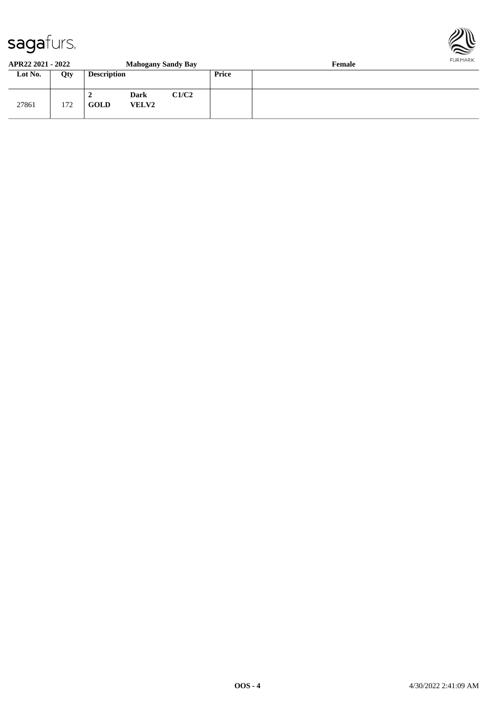

#### **APR22 2021 - 2022 Mahogany Sandy Bay Female Lot No. Qty Description Price** 27861 172 **2 Dark C1/C2 GOLD VELV2**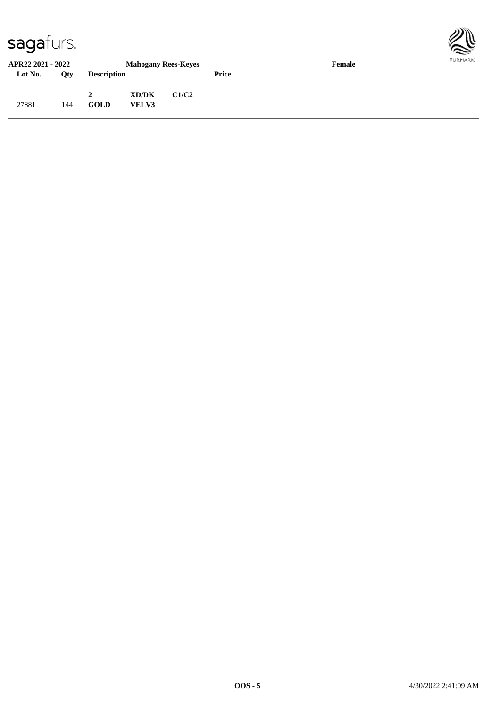

#### **APR22 2021 - 2022 Mahogany Rees-Keyes Female Lot No. Qty Description Price** 27881 144 **2 XD/DK C1/C2 GOLD VELV3**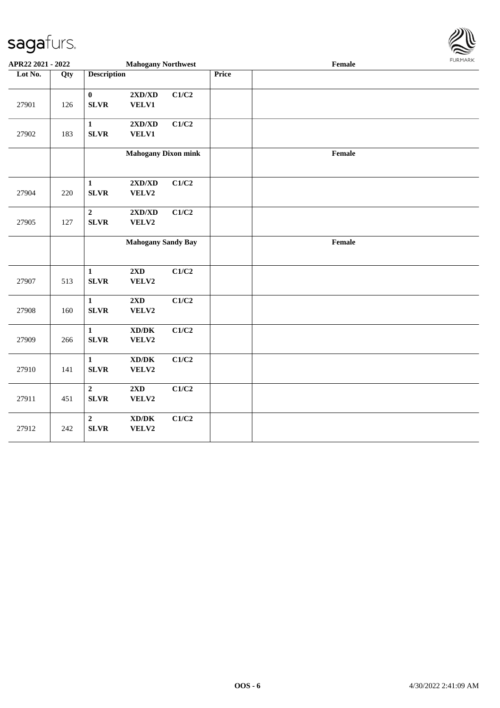

| APR22 2021 - 2022 |     |                                 | <b>Mahogany Northwest</b>                            |       |       | Female | FURMARK |
|-------------------|-----|---------------------------------|------------------------------------------------------|-------|-------|--------|---------|
| Lot No.           | Qty | <b>Description</b>              |                                                      |       | Price |        |         |
| 27901             | 126 | $\pmb{0}$<br><b>SLVR</b>        | $2{\bf X}{\bf D}/{\bf X}{\bf D}$<br>VELV1            | C1/C2 |       |        |         |
| 27902             | 183 | $\mathbf{1}$<br><b>SLVR</b>     | $2{\bf X}{\bf D}/{\bf X}{\bf D}$<br><b>VELV1</b>     | C1/C2 |       |        |         |
|                   |     |                                 | <b>Mahogany Dixon mink</b>                           |       |       | Female |         |
| 27904             | 220 | $\mathbf{1}$<br><b>SLVR</b>     | 2XD/XD<br>VELV2                                      | C1/C2 |       |        |         |
| 27905             | 127 | $\boldsymbol{2}$<br><b>SLVR</b> | $2{\bf X}{\bf D}/{\bf X}{\bf D}$<br>VELV2            | C1/C2 |       |        |         |
|                   |     |                                 | <b>Mahogany Sandy Bay</b>                            |       |       | Female |         |
| 27907             | 513 | $\mathbf{1}$<br><b>SLVR</b>     | 2XD<br>VELV2                                         | C1/C2 |       |        |         |
| 27908             | 160 | $\mathbf{1}$<br><b>SLVR</b>     | 2XD<br>VELV2                                         | C1/C2 |       |        |         |
| 27909             | 266 | $\mathbf{1}$<br><b>SLVR</b>     | $\mathbf{X}\mathbf{D}/\mathbf{D}\mathbf{K}$<br>VELV2 | C1/C2 |       |        |         |
| 27910             | 141 | $\mathbf{1}$<br><b>SLVR</b>     | $\bold{X}\bold{D}/\bold{D}\bold{K}$<br>VELV2         | C1/C2 |       |        |         |
| 27911             | 451 | $\overline{2}$<br><b>SLVR</b>   | $2{\bf X}{\bf D}$<br>VELV2                           | C1/C2 |       |        |         |
| 27912             | 242 | $\overline{2}$<br><b>SLVR</b>   | $\bold{X}\bold{D}/\bold{D}\bold{K}$<br>VELV2         | C1/C2 |       |        |         |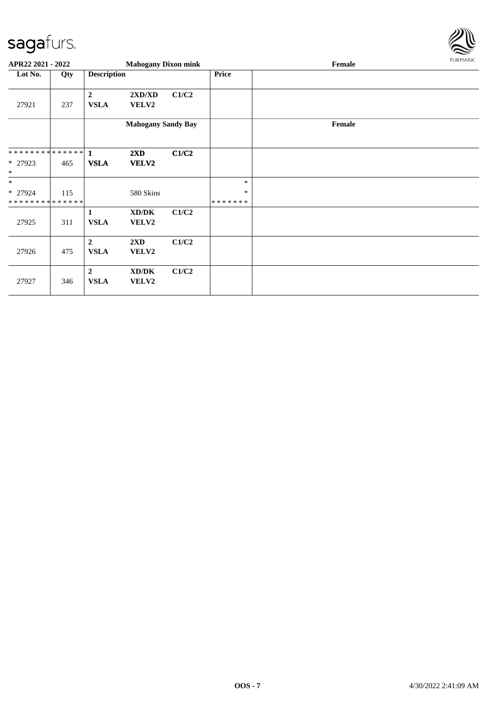

| APR22 2021 - 2022                      |     |                                 | <b>Mahogany Dixon mink</b> |       |                         | Female | FURMARK |
|----------------------------------------|-----|---------------------------------|----------------------------|-------|-------------------------|--------|---------|
| Lot No.                                | Qty | <b>Description</b>              |                            |       | Price                   |        |         |
| 27921                                  | 237 | $\boldsymbol{2}$<br><b>VSLA</b> | 2XD/XD<br>VELV2            | C1/C2 |                         |        |         |
|                                        |     |                                 | <b>Mahogany Sandy Bay</b>  |       |                         | Female |         |
|                                        |     |                                 | 2XD                        | C1/C2 |                         |        |         |
| * 27923<br>$\ast$                      | 465 | <b>VSLA</b>                     | VELV2                      |       |                         |        |         |
| $\ast$                                 |     |                                 |                            |       | $\ast$                  |        |         |
| * 27924<br>* * * * * * * * * * * * * * | 115 |                                 | 580 Skins                  |       | $\ast$<br>* * * * * * * |        |         |
| 27925                                  | 311 | 1<br><b>VSLA</b>                | XD/DK<br>VELV2             | C1/C2 |                         |        |         |
| 27926                                  | 475 | $\overline{2}$<br><b>VSLA</b>   | 2XD<br>VELV2               | C1/C2 |                         |        |         |
| 27927                                  | 346 | $\overline{2}$<br><b>VSLA</b>   | XD/DK<br>VELV2             | C1/C2 |                         |        |         |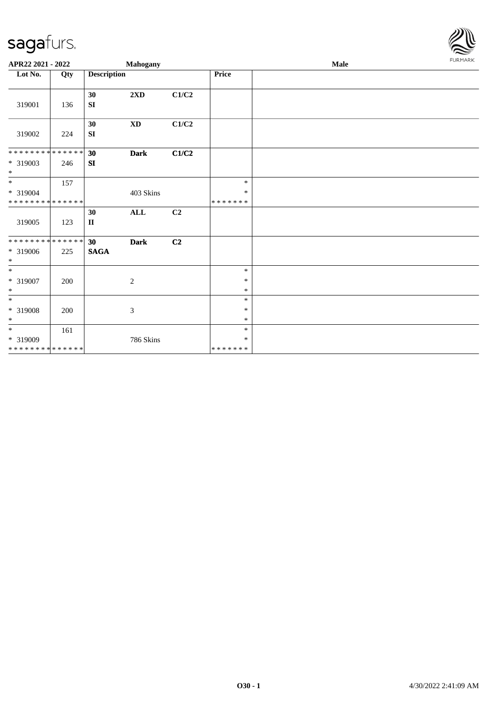

| APR22 2021 - 2022                                 |     |                       | Mahogany                    |                | Male                        |  |  |  |  |
|---------------------------------------------------|-----|-----------------------|-----------------------------|----------------|-----------------------------|--|--|--|--|
| Lot No.                                           | Qty | <b>Description</b>    |                             |                | <b>Price</b>                |  |  |  |  |
| 319001                                            | 136 | 30<br>SI              | $2\mathbf{X}\mathbf{D}$     | C1/C2          |                             |  |  |  |  |
| 319002                                            | 224 | 30<br>SI              | $\mathbf{X}\mathbf{D}$      | C1/C2          |                             |  |  |  |  |
| * * * * * * * * * * * * * *<br>* 319003<br>$\ast$ | 246 | 30<br>SI              | <b>Dark</b>                 | C1/C2          |                             |  |  |  |  |
| $*$<br>* 319004<br>* * * * * * * * * * * * * *    | 157 |                       | 403 Skins                   |                | $\ast$<br>$\ast$<br>******* |  |  |  |  |
| 319005                                            | 123 | 30<br>$\mathbf{I}$    | $\mathbf{ALL}$              | C2             |                             |  |  |  |  |
| **************<br>* 319006<br>$\ast$              | 225 | 30<br>$\mathbf{SAGA}$ | <b>Dark</b>                 | C <sub>2</sub> |                             |  |  |  |  |
| $\overline{\phantom{0}}$<br>* 319007<br>$\ast$    | 200 |                       | $\sqrt{2}$                  |                | $\ast$<br>$\ast$<br>$\ast$  |  |  |  |  |
| $\ast$<br>* 319008<br>$\ast$                      | 200 |                       | $\boldsymbol{\mathfrak{Z}}$ |                | $\ast$<br>$\ast$<br>$\ast$  |  |  |  |  |
| $*$<br>$* 319009$<br>* * * * * * * * * * * * * *  | 161 |                       | 786 Skins                   |                | $\ast$<br>$\ast$<br>******* |  |  |  |  |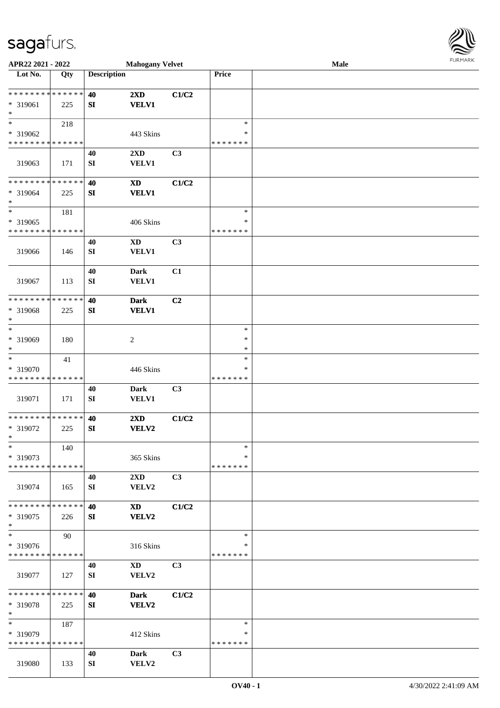

| APR22 2021 - 2022            |     |                    | <b>Mahogany Velvet</b>     |                |               | Male |  |
|------------------------------|-----|--------------------|----------------------------|----------------|---------------|------|--|
| Lot No.                      | Qty | <b>Description</b> |                            |                | Price         |      |  |
|                              |     |                    |                            |                |               |      |  |
| **************               |     | 40                 | $2\mathbf{X}\mathbf{D}$    | C1/C2          |               |      |  |
| * 319061                     | 225 | SI                 | <b>VELV1</b>               |                |               |      |  |
| $\ast$                       |     |                    |                            |                |               |      |  |
| $\ast$                       | 218 |                    |                            |                | $\ast$        |      |  |
|                              |     |                    |                            |                | ∗             |      |  |
| * 319062                     |     |                    | 443 Skins                  |                |               |      |  |
| * * * * * * * * * * * * * *  |     |                    |                            |                | * * * * * * * |      |  |
|                              |     | 40                 | 2XD                        | C <sub>3</sub> |               |      |  |
| 319063                       | 171 | SI                 | <b>VELV1</b>               |                |               |      |  |
|                              |     |                    |                            |                |               |      |  |
| * * * * * * * * * * * * * *  |     | 40                 | $\boldsymbol{\mathrm{XD}}$ | C1/C2          |               |      |  |
| * 319064                     | 225 | ${\bf S}{\bf I}$   | <b>VELV1</b>               |                |               |      |  |
| $\ast$                       |     |                    |                            |                |               |      |  |
| $\ast$                       | 181 |                    |                            |                | $\ast$        |      |  |
| * 319065                     |     |                    | 406 Skins                  |                | $\ast$        |      |  |
| * * * * * * * * * * * * * *  |     |                    |                            |                | * * * * * * * |      |  |
|                              |     | 40                 | <b>XD</b>                  | C3             |               |      |  |
| 319066                       |     | SI                 | VELV1                      |                |               |      |  |
|                              | 146 |                    |                            |                |               |      |  |
|                              |     |                    |                            |                |               |      |  |
|                              |     | 40                 | <b>Dark</b>                | C1             |               |      |  |
| 319067                       | 113 | SI                 | <b>VELV1</b>               |                |               |      |  |
|                              |     |                    |                            |                |               |      |  |
| * * * * * * * * * * * * * *  |     | 40                 | <b>Dark</b>                | C <sub>2</sub> |               |      |  |
| * 319068                     | 225 | SI                 | <b>VELV1</b>               |                |               |      |  |
| $\ast$                       |     |                    |                            |                |               |      |  |
| $\ast$                       |     |                    |                            |                | $\ast$        |      |  |
| * 319069                     | 180 |                    | $\boldsymbol{2}$           |                | $\ast$        |      |  |
| $\ast$                       |     |                    |                            |                | $\ast$        |      |  |
| $\overline{\phantom{a}}$     | 41  |                    |                            |                | $\ast$        |      |  |
| * 319070                     |     |                    | 446 Skins                  |                | ∗             |      |  |
| * * * * * * * * * * * * * *  |     |                    |                            |                | * * * * * * * |      |  |
|                              |     | 40                 | <b>Dark</b>                | C3             |               |      |  |
|                              |     |                    |                            |                |               |      |  |
| 319071                       | 171 | SI                 | VELV1                      |                |               |      |  |
|                              |     |                    |                            |                |               |      |  |
| ******** <mark>******</mark> |     | 40                 | 2XD                        | C1/C2          |               |      |  |
| * 319072                     | 225 | SI                 | <b>VELV2</b>               |                |               |      |  |
| $*$                          |     |                    |                            |                |               |      |  |
| $\ast$                       | 140 |                    |                            |                | $\ast$        |      |  |
| * 319073                     |     |                    | 365 Skins                  |                | ∗             |      |  |
| * * * * * * * * * * * * * *  |     |                    |                            |                | * * * * * * * |      |  |
|                              |     | 40                 | 2XD                        | C3             |               |      |  |
| 319074                       | 165 | SI                 | VELV2                      |                |               |      |  |
|                              |     |                    |                            |                |               |      |  |
| * * * * * * * * * * * * * *  |     | 40                 | XD                         | C1/C2          |               |      |  |
| * 319075                     | 226 | SI                 | VELV2                      |                |               |      |  |
| $\ast$                       |     |                    |                            |                |               |      |  |
| $\ast$                       | 90  |                    |                            |                | $\ast$        |      |  |
| * 319076                     |     |                    | 316 Skins                  |                | ∗             |      |  |
| * * * * * * * * * * * * * *  |     |                    |                            |                | * * * * * * * |      |  |
|                              |     |                    |                            |                |               |      |  |
|                              |     | 40                 | $\mathbf{X}\mathbf{D}$     | C3             |               |      |  |
| 319077                       | 127 | SI                 | VELV2                      |                |               |      |  |
|                              |     |                    |                            |                |               |      |  |
| **************               |     | 40                 | <b>Dark</b>                | C1/C2          |               |      |  |
| * 319078                     | 225 | SI                 | VELV2                      |                |               |      |  |
| $\ast$                       |     |                    |                            |                |               |      |  |
| $\ast$                       | 187 |                    |                            |                | $\ast$        |      |  |
| * 319079                     |     |                    | 412 Skins                  |                | ∗             |      |  |
| * * * * * * * * * * * * * *  |     |                    |                            |                | * * * * * * * |      |  |
|                              |     | 40                 | Dark                       | C3             |               |      |  |
| 319080                       | 133 | SI                 | VELV2                      |                |               |      |  |
|                              |     |                    |                            |                |               |      |  |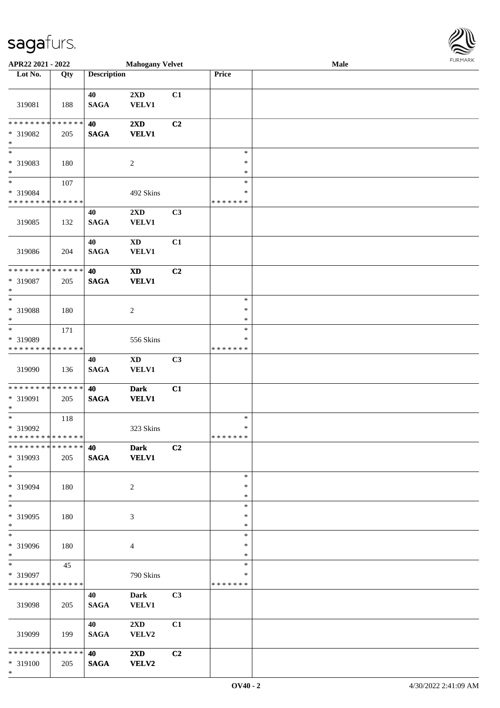| <b>Description</b><br>Lot No.<br>Price<br>Qty<br>40<br>2XD<br>C1<br><b>VELV1</b><br>319081<br>188<br><b>SAGA</b><br>* * * * * * * * <mark>* * * * * * *</mark><br>2XD<br>40<br>C2<br><b>VELV1</b><br>* 319082<br><b>SAGA</b><br>205<br>$\ast$<br>$\ast$<br>* 319083<br>180<br>2<br>∗<br>$\ast$<br>$\ast$<br>$*$<br>107<br>$\ast$<br>* 319084<br>492 Skins<br>$\ast$<br>* * * * * * * * * * * * * *<br>* * * * * * *<br>2XD<br>C3<br>40<br><b>SAGA</b><br><b>VELV1</b><br>319085<br>132<br>C1<br>40<br>$\mathbf{X}\mathbf{D}$<br><b>SAGA</b><br>319086<br><b>VELV1</b><br>204<br>* * * * * * * * * * * * * *<br>40<br>$\mathbf{X}\mathbf{D}$<br>C2<br>* 319087<br><b>VELV1</b><br><b>SAGA</b><br>205<br>$\ast$<br>$\ast$<br>$\ast$<br>* 319088<br>$\overline{2}$<br>$\ast$<br>180<br>$\ast$<br>$\ast$<br>$\ast$<br>171<br>* 319089<br>556 Skins<br>∗<br>* * * * * * * * <mark>* * * * * * *</mark><br>* * * * * * *<br><b>XD</b><br>C3<br>40<br><b>SAGA</b><br>319090<br>VELV1<br>136<br>* * * * * * * * <mark>* * * * * * *</mark><br>40<br><b>Dark</b><br>C1<br>* 319091<br>$\mathbf{SAGA}$<br><b>VELV1</b><br>205<br>$*$<br>$\ast$<br>118<br>$\ast$<br>* 319092<br>323 Skins<br>$\ast$<br>* * * * * * * * * * * * * * *<br>* * * * * * *<br>* * * * * * * * <mark>* * * * * *</mark> *<br>C2<br>40<br><b>Dark</b><br>* 319093<br><b>VELV1</b><br><b>SAGA</b><br>205<br>$*$<br>$\ast$<br>$\ast$<br>* 319094<br>180<br>2<br>∗<br>$*$<br>$\ast$<br>$\overline{\ast}$<br>$\ast$<br>* 319095<br>180<br>3<br>∗<br>$\ast$<br>$\ast$<br>$\overline{\ast}$<br>$\ast$<br>* 319096<br>180<br>∗<br>4<br>$\ast$<br>$\ast$<br>$\ast$<br>$\ast$<br>45<br>* 319097<br>790 Skins<br>*<br>* * * * * * * * <mark>* * * * * * *</mark><br>*******<br>40<br><b>Dark</b><br>C <sub>3</sub><br><b>SAGA</b><br><b>VELV1</b><br>319098<br>205<br>40<br>$2\mathbf{X}\mathbf{D}$<br>C1<br>319099<br>199<br><b>SAGA</b><br>VELV2<br>* * * * * * * * <mark>* * * * * * *</mark><br>40<br>$2\mathbf{X}\mathbf{D}$<br>C <sub>2</sub><br><b>VELV2</b><br><b>SAGA</b><br>* 319100<br>205 | APR22 2021 - 2022 |  | <b>Mahogany Velvet</b> |  | Male |  |
|-----------------------------------------------------------------------------------------------------------------------------------------------------------------------------------------------------------------------------------------------------------------------------------------------------------------------------------------------------------------------------------------------------------------------------------------------------------------------------------------------------------------------------------------------------------------------------------------------------------------------------------------------------------------------------------------------------------------------------------------------------------------------------------------------------------------------------------------------------------------------------------------------------------------------------------------------------------------------------------------------------------------------------------------------------------------------------------------------------------------------------------------------------------------------------------------------------------------------------------------------------------------------------------------------------------------------------------------------------------------------------------------------------------------------------------------------------------------------------------------------------------------------------------------------------------------------------------------------------------------------------------------------------------------------------------------------------------------------------------------------------------------------------------------------------------------------------------------------------------------------------------------------------------------------------------------------------------------------------------------------------------------------------------------------------------|-------------------|--|------------------------|--|------|--|
|                                                                                                                                                                                                                                                                                                                                                                                                                                                                                                                                                                                                                                                                                                                                                                                                                                                                                                                                                                                                                                                                                                                                                                                                                                                                                                                                                                                                                                                                                                                                                                                                                                                                                                                                                                                                                                                                                                                                                                                                                                                           |                   |  |                        |  |      |  |
|                                                                                                                                                                                                                                                                                                                                                                                                                                                                                                                                                                                                                                                                                                                                                                                                                                                                                                                                                                                                                                                                                                                                                                                                                                                                                                                                                                                                                                                                                                                                                                                                                                                                                                                                                                                                                                                                                                                                                                                                                                                           |                   |  |                        |  |      |  |
|                                                                                                                                                                                                                                                                                                                                                                                                                                                                                                                                                                                                                                                                                                                                                                                                                                                                                                                                                                                                                                                                                                                                                                                                                                                                                                                                                                                                                                                                                                                                                                                                                                                                                                                                                                                                                                                                                                                                                                                                                                                           |                   |  |                        |  |      |  |
|                                                                                                                                                                                                                                                                                                                                                                                                                                                                                                                                                                                                                                                                                                                                                                                                                                                                                                                                                                                                                                                                                                                                                                                                                                                                                                                                                                                                                                                                                                                                                                                                                                                                                                                                                                                                                                                                                                                                                                                                                                                           |                   |  |                        |  |      |  |
|                                                                                                                                                                                                                                                                                                                                                                                                                                                                                                                                                                                                                                                                                                                                                                                                                                                                                                                                                                                                                                                                                                                                                                                                                                                                                                                                                                                                                                                                                                                                                                                                                                                                                                                                                                                                                                                                                                                                                                                                                                                           |                   |  |                        |  |      |  |
|                                                                                                                                                                                                                                                                                                                                                                                                                                                                                                                                                                                                                                                                                                                                                                                                                                                                                                                                                                                                                                                                                                                                                                                                                                                                                                                                                                                                                                                                                                                                                                                                                                                                                                                                                                                                                                                                                                                                                                                                                                                           |                   |  |                        |  |      |  |
|                                                                                                                                                                                                                                                                                                                                                                                                                                                                                                                                                                                                                                                                                                                                                                                                                                                                                                                                                                                                                                                                                                                                                                                                                                                                                                                                                                                                                                                                                                                                                                                                                                                                                                                                                                                                                                                                                                                                                                                                                                                           |                   |  |                        |  |      |  |
|                                                                                                                                                                                                                                                                                                                                                                                                                                                                                                                                                                                                                                                                                                                                                                                                                                                                                                                                                                                                                                                                                                                                                                                                                                                                                                                                                                                                                                                                                                                                                                                                                                                                                                                                                                                                                                                                                                                                                                                                                                                           |                   |  |                        |  |      |  |
|                                                                                                                                                                                                                                                                                                                                                                                                                                                                                                                                                                                                                                                                                                                                                                                                                                                                                                                                                                                                                                                                                                                                                                                                                                                                                                                                                                                                                                                                                                                                                                                                                                                                                                                                                                                                                                                                                                                                                                                                                                                           |                   |  |                        |  |      |  |
|                                                                                                                                                                                                                                                                                                                                                                                                                                                                                                                                                                                                                                                                                                                                                                                                                                                                                                                                                                                                                                                                                                                                                                                                                                                                                                                                                                                                                                                                                                                                                                                                                                                                                                                                                                                                                                                                                                                                                                                                                                                           |                   |  |                        |  |      |  |
|                                                                                                                                                                                                                                                                                                                                                                                                                                                                                                                                                                                                                                                                                                                                                                                                                                                                                                                                                                                                                                                                                                                                                                                                                                                                                                                                                                                                                                                                                                                                                                                                                                                                                                                                                                                                                                                                                                                                                                                                                                                           |                   |  |                        |  |      |  |
|                                                                                                                                                                                                                                                                                                                                                                                                                                                                                                                                                                                                                                                                                                                                                                                                                                                                                                                                                                                                                                                                                                                                                                                                                                                                                                                                                                                                                                                                                                                                                                                                                                                                                                                                                                                                                                                                                                                                                                                                                                                           |                   |  |                        |  |      |  |
|                                                                                                                                                                                                                                                                                                                                                                                                                                                                                                                                                                                                                                                                                                                                                                                                                                                                                                                                                                                                                                                                                                                                                                                                                                                                                                                                                                                                                                                                                                                                                                                                                                                                                                                                                                                                                                                                                                                                                                                                                                                           |                   |  |                        |  |      |  |
|                                                                                                                                                                                                                                                                                                                                                                                                                                                                                                                                                                                                                                                                                                                                                                                                                                                                                                                                                                                                                                                                                                                                                                                                                                                                                                                                                                                                                                                                                                                                                                                                                                                                                                                                                                                                                                                                                                                                                                                                                                                           |                   |  |                        |  |      |  |
|                                                                                                                                                                                                                                                                                                                                                                                                                                                                                                                                                                                                                                                                                                                                                                                                                                                                                                                                                                                                                                                                                                                                                                                                                                                                                                                                                                                                                                                                                                                                                                                                                                                                                                                                                                                                                                                                                                                                                                                                                                                           |                   |  |                        |  |      |  |
|                                                                                                                                                                                                                                                                                                                                                                                                                                                                                                                                                                                                                                                                                                                                                                                                                                                                                                                                                                                                                                                                                                                                                                                                                                                                                                                                                                                                                                                                                                                                                                                                                                                                                                                                                                                                                                                                                                                                                                                                                                                           |                   |  |                        |  |      |  |
|                                                                                                                                                                                                                                                                                                                                                                                                                                                                                                                                                                                                                                                                                                                                                                                                                                                                                                                                                                                                                                                                                                                                                                                                                                                                                                                                                                                                                                                                                                                                                                                                                                                                                                                                                                                                                                                                                                                                                                                                                                                           |                   |  |                        |  |      |  |
|                                                                                                                                                                                                                                                                                                                                                                                                                                                                                                                                                                                                                                                                                                                                                                                                                                                                                                                                                                                                                                                                                                                                                                                                                                                                                                                                                                                                                                                                                                                                                                                                                                                                                                                                                                                                                                                                                                                                                                                                                                                           |                   |  |                        |  |      |  |
|                                                                                                                                                                                                                                                                                                                                                                                                                                                                                                                                                                                                                                                                                                                                                                                                                                                                                                                                                                                                                                                                                                                                                                                                                                                                                                                                                                                                                                                                                                                                                                                                                                                                                                                                                                                                                                                                                                                                                                                                                                                           |                   |  |                        |  |      |  |
|                                                                                                                                                                                                                                                                                                                                                                                                                                                                                                                                                                                                                                                                                                                                                                                                                                                                                                                                                                                                                                                                                                                                                                                                                                                                                                                                                                                                                                                                                                                                                                                                                                                                                                                                                                                                                                                                                                                                                                                                                                                           |                   |  |                        |  |      |  |
|                                                                                                                                                                                                                                                                                                                                                                                                                                                                                                                                                                                                                                                                                                                                                                                                                                                                                                                                                                                                                                                                                                                                                                                                                                                                                                                                                                                                                                                                                                                                                                                                                                                                                                                                                                                                                                                                                                                                                                                                                                                           |                   |  |                        |  |      |  |
|                                                                                                                                                                                                                                                                                                                                                                                                                                                                                                                                                                                                                                                                                                                                                                                                                                                                                                                                                                                                                                                                                                                                                                                                                                                                                                                                                                                                                                                                                                                                                                                                                                                                                                                                                                                                                                                                                                                                                                                                                                                           |                   |  |                        |  |      |  |
|                                                                                                                                                                                                                                                                                                                                                                                                                                                                                                                                                                                                                                                                                                                                                                                                                                                                                                                                                                                                                                                                                                                                                                                                                                                                                                                                                                                                                                                                                                                                                                                                                                                                                                                                                                                                                                                                                                                                                                                                                                                           |                   |  |                        |  |      |  |
|                                                                                                                                                                                                                                                                                                                                                                                                                                                                                                                                                                                                                                                                                                                                                                                                                                                                                                                                                                                                                                                                                                                                                                                                                                                                                                                                                                                                                                                                                                                                                                                                                                                                                                                                                                                                                                                                                                                                                                                                                                                           |                   |  |                        |  |      |  |
|                                                                                                                                                                                                                                                                                                                                                                                                                                                                                                                                                                                                                                                                                                                                                                                                                                                                                                                                                                                                                                                                                                                                                                                                                                                                                                                                                                                                                                                                                                                                                                                                                                                                                                                                                                                                                                                                                                                                                                                                                                                           |                   |  |                        |  |      |  |
|                                                                                                                                                                                                                                                                                                                                                                                                                                                                                                                                                                                                                                                                                                                                                                                                                                                                                                                                                                                                                                                                                                                                                                                                                                                                                                                                                                                                                                                                                                                                                                                                                                                                                                                                                                                                                                                                                                                                                                                                                                                           |                   |  |                        |  |      |  |
|                                                                                                                                                                                                                                                                                                                                                                                                                                                                                                                                                                                                                                                                                                                                                                                                                                                                                                                                                                                                                                                                                                                                                                                                                                                                                                                                                                                                                                                                                                                                                                                                                                                                                                                                                                                                                                                                                                                                                                                                                                                           |                   |  |                        |  |      |  |
|                                                                                                                                                                                                                                                                                                                                                                                                                                                                                                                                                                                                                                                                                                                                                                                                                                                                                                                                                                                                                                                                                                                                                                                                                                                                                                                                                                                                                                                                                                                                                                                                                                                                                                                                                                                                                                                                                                                                                                                                                                                           |                   |  |                        |  |      |  |
|                                                                                                                                                                                                                                                                                                                                                                                                                                                                                                                                                                                                                                                                                                                                                                                                                                                                                                                                                                                                                                                                                                                                                                                                                                                                                                                                                                                                                                                                                                                                                                                                                                                                                                                                                                                                                                                                                                                                                                                                                                                           |                   |  |                        |  |      |  |
|                                                                                                                                                                                                                                                                                                                                                                                                                                                                                                                                                                                                                                                                                                                                                                                                                                                                                                                                                                                                                                                                                                                                                                                                                                                                                                                                                                                                                                                                                                                                                                                                                                                                                                                                                                                                                                                                                                                                                                                                                                                           |                   |  |                        |  |      |  |
|                                                                                                                                                                                                                                                                                                                                                                                                                                                                                                                                                                                                                                                                                                                                                                                                                                                                                                                                                                                                                                                                                                                                                                                                                                                                                                                                                                                                                                                                                                                                                                                                                                                                                                                                                                                                                                                                                                                                                                                                                                                           |                   |  |                        |  |      |  |
|                                                                                                                                                                                                                                                                                                                                                                                                                                                                                                                                                                                                                                                                                                                                                                                                                                                                                                                                                                                                                                                                                                                                                                                                                                                                                                                                                                                                                                                                                                                                                                                                                                                                                                                                                                                                                                                                                                                                                                                                                                                           |                   |  |                        |  |      |  |
|                                                                                                                                                                                                                                                                                                                                                                                                                                                                                                                                                                                                                                                                                                                                                                                                                                                                                                                                                                                                                                                                                                                                                                                                                                                                                                                                                                                                                                                                                                                                                                                                                                                                                                                                                                                                                                                                                                                                                                                                                                                           |                   |  |                        |  |      |  |
|                                                                                                                                                                                                                                                                                                                                                                                                                                                                                                                                                                                                                                                                                                                                                                                                                                                                                                                                                                                                                                                                                                                                                                                                                                                                                                                                                                                                                                                                                                                                                                                                                                                                                                                                                                                                                                                                                                                                                                                                                                                           |                   |  |                        |  |      |  |
|                                                                                                                                                                                                                                                                                                                                                                                                                                                                                                                                                                                                                                                                                                                                                                                                                                                                                                                                                                                                                                                                                                                                                                                                                                                                                                                                                                                                                                                                                                                                                                                                                                                                                                                                                                                                                                                                                                                                                                                                                                                           |                   |  |                        |  |      |  |
|                                                                                                                                                                                                                                                                                                                                                                                                                                                                                                                                                                                                                                                                                                                                                                                                                                                                                                                                                                                                                                                                                                                                                                                                                                                                                                                                                                                                                                                                                                                                                                                                                                                                                                                                                                                                                                                                                                                                                                                                                                                           |                   |  |                        |  |      |  |
|                                                                                                                                                                                                                                                                                                                                                                                                                                                                                                                                                                                                                                                                                                                                                                                                                                                                                                                                                                                                                                                                                                                                                                                                                                                                                                                                                                                                                                                                                                                                                                                                                                                                                                                                                                                                                                                                                                                                                                                                                                                           |                   |  |                        |  |      |  |
|                                                                                                                                                                                                                                                                                                                                                                                                                                                                                                                                                                                                                                                                                                                                                                                                                                                                                                                                                                                                                                                                                                                                                                                                                                                                                                                                                                                                                                                                                                                                                                                                                                                                                                                                                                                                                                                                                                                                                                                                                                                           |                   |  |                        |  |      |  |
|                                                                                                                                                                                                                                                                                                                                                                                                                                                                                                                                                                                                                                                                                                                                                                                                                                                                                                                                                                                                                                                                                                                                                                                                                                                                                                                                                                                                                                                                                                                                                                                                                                                                                                                                                                                                                                                                                                                                                                                                                                                           |                   |  |                        |  |      |  |
|                                                                                                                                                                                                                                                                                                                                                                                                                                                                                                                                                                                                                                                                                                                                                                                                                                                                                                                                                                                                                                                                                                                                                                                                                                                                                                                                                                                                                                                                                                                                                                                                                                                                                                                                                                                                                                                                                                                                                                                                                                                           |                   |  |                        |  |      |  |
|                                                                                                                                                                                                                                                                                                                                                                                                                                                                                                                                                                                                                                                                                                                                                                                                                                                                                                                                                                                                                                                                                                                                                                                                                                                                                                                                                                                                                                                                                                                                                                                                                                                                                                                                                                                                                                                                                                                                                                                                                                                           |                   |  |                        |  |      |  |
|                                                                                                                                                                                                                                                                                                                                                                                                                                                                                                                                                                                                                                                                                                                                                                                                                                                                                                                                                                                                                                                                                                                                                                                                                                                                                                                                                                                                                                                                                                                                                                                                                                                                                                                                                                                                                                                                                                                                                                                                                                                           |                   |  |                        |  |      |  |

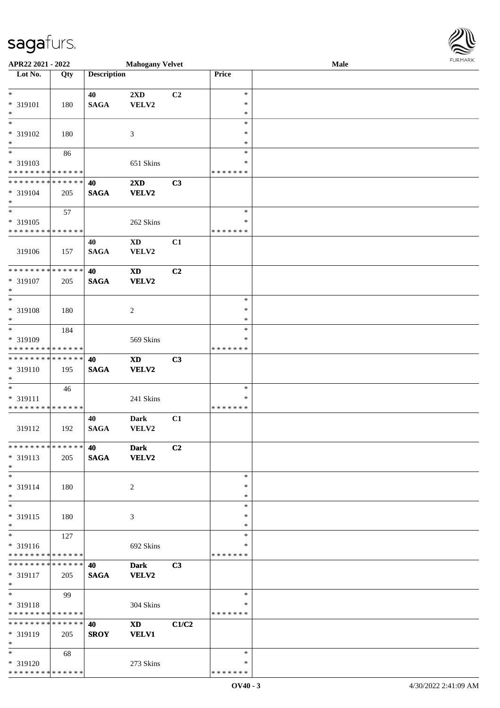\* \* \* \* \* \* \* \* \* \* \* \* \* \* \*

| APR22 2021 - 2022                                    |     |                    | <b>Mahogany Velvet</b>  |                |                    | Male | <b>FURMARK</b> |
|------------------------------------------------------|-----|--------------------|-------------------------|----------------|--------------------|------|----------------|
| Lot No.                                              | Qty | <b>Description</b> |                         |                | Price              |      |                |
| $*$                                                  |     | 40                 | $2\mathbf{X}\mathbf{D}$ | C <sub>2</sub> | $\ast$             |      |                |
| * 319101                                             | 180 | <b>SAGA</b>        | VELV2                   |                | $\ast$             |      |                |
| $*$                                                  |     |                    |                         |                | $\ast$             |      |                |
|                                                      |     |                    |                         |                | $\ast$             |      |                |
| * 319102                                             | 180 |                    | 3                       |                | $\ast$             |      |                |
| $*$<br>$\overline{\mathbf{r}}$                       |     |                    |                         |                | $\ast$<br>$\ast$   |      |                |
| * 319103                                             | 86  |                    | 651 Skins               |                | $\ast$             |      |                |
| * * * * * * * * <mark>* * * * * *</mark>             |     |                    |                         |                | * * * * * * *      |      |                |
| * * * * * * * * <mark>* * * * * * *</mark>           |     | 40                 | $2\mathbf{X}\mathbf{D}$ | C3             |                    |      |                |
| * 319104                                             | 205 | <b>SAGA</b>        | VELV2                   |                |                    |      |                |
| $\ast$<br>$\overline{\ast}$                          |     |                    |                         |                | $\ast$             |      |                |
| * 319105                                             | 57  |                    | 262 Skins               |                | ∗                  |      |                |
| * * * * * * * * <mark>* * * * * *</mark>             |     |                    |                         |                | * * * * * * *      |      |                |
|                                                      |     | 40                 | <b>XD</b>               | C1             |                    |      |                |
| 319106                                               | 157 | <b>SAGA</b>        | VELV2                   |                |                    |      |                |
| * * * * * * * * * * * * * *                          |     |                    |                         |                |                    |      |                |
| * 319107                                             | 205 | 40<br><b>SAGA</b>  | <b>XD</b><br>VELV2      | C2             |                    |      |                |
| $\ast$                                               |     |                    |                         |                |                    |      |                |
|                                                      |     |                    |                         |                | $\ast$             |      |                |
| * 319108                                             | 180 |                    | 2                       |                | $\ast$             |      |                |
| $*$<br>$\overline{\mathbf{r}}$                       |     |                    |                         |                | $\ast$<br>$\ast$   |      |                |
| * 319109                                             | 184 |                    | 569 Skins               |                | $\ast$             |      |                |
| * * * * * * * * <mark>* * * * * * *</mark>           |     |                    |                         |                | * * * * * * *      |      |                |
| ******** <mark>******</mark>                         |     | 40                 | <b>XD</b>               | C3             |                    |      |                |
| * 319110                                             | 195 | <b>SAGA</b>        | <b>VELV2</b>            |                |                    |      |                |
| $\ast$                                               |     |                    |                         |                | $\ast$             |      |                |
| * 319111                                             | 46  |                    | 241 Skins               |                | ∗                  |      |                |
| * * * * * * * * <mark>* * * * * *</mark>             |     |                    |                         |                | *******            |      |                |
|                                                      |     | 40                 | <b>Dark</b>             | C1             |                    |      |                |
| 319112                                               | 192 | <b>SAGA</b>        | VELV2                   |                |                    |      |                |
| * * * * * * * * * * * * * * *                        |     | 40                 | <b>Dark</b>             | C2             |                    |      |                |
| * 319113                                             | 205 | <b>SAGA</b>        | <b>VELV2</b>            |                |                    |      |                |
| $\ast$                                               |     |                    |                         |                |                    |      |                |
| $\ast$                                               |     |                    |                         |                | $\ast$             |      |                |
| * 319114<br>$*$                                      | 180 |                    | 2                       |                | ∗<br>$\ast$        |      |                |
| $*$                                                  |     |                    |                         |                | $\ast$             |      |                |
| * 319115                                             | 180 |                    | $\mathfrak{Z}$          |                | $\ast$             |      |                |
| $*$                                                  |     |                    |                         |                | ∗                  |      |                |
| $*$                                                  | 127 |                    |                         |                | $\ast$             |      |                |
| * 319116<br>* * * * * * * * <mark>* * * * * *</mark> |     |                    | 692 Skins               |                | ∗<br>* * * * * * * |      |                |
| * * * * * * * * * * * * * * <mark>*</mark>           |     | 40                 | <b>Dark</b>             | C3             |                    |      |                |
| * 319117                                             | 205 | <b>SAGA</b>        | <b>VELV2</b>            |                |                    |      |                |
| $\ast$                                               |     |                    |                         |                |                    |      |                |
| $\overline{\ast}$                                    | 99  |                    |                         |                | $\ast$             |      |                |
| * 319118<br>* * * * * * * * <mark>* * * * * *</mark> |     |                    | 304 Skins               |                | *<br>*******       |      |                |
| * * * * * * * * * * * * * * <mark>*</mark>           |     | 40                 | $\mathbf{X}\mathbf{D}$  | C1/C2          |                    |      |                |
| * 319119                                             | 205 | <b>SROY</b>        | <b>VELV1</b>            |                |                    |      |                |
| $*$                                                  |     |                    |                         |                |                    |      |                |
| $*$ $*$                                              | 68  |                    |                         |                | $\ast$             |      |                |
| * 319120                                             |     |                    | 273 Skins               |                | $\ast$             |      |                |

\* \* \* \* \* \* \*

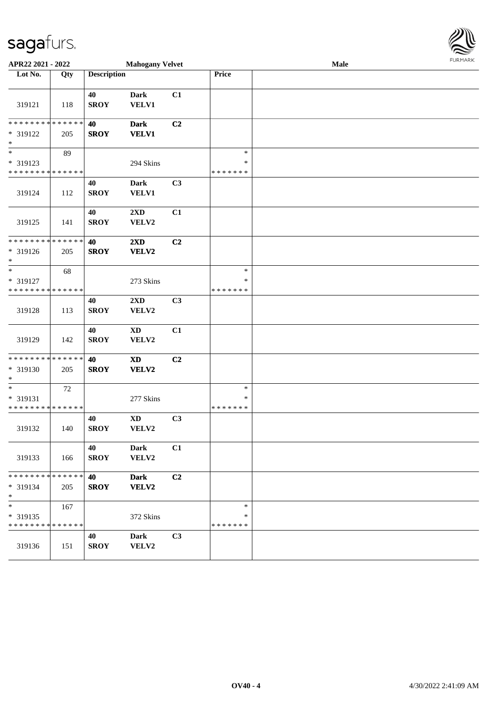| APR22 2021 - 2022                                                   |                    |                    | <b>Mahogany Velvet</b>              |                |                                   | Male | 1011111111 |
|---------------------------------------------------------------------|--------------------|--------------------|-------------------------------------|----------------|-----------------------------------|------|------------|
| Lot No.                                                             | Qty                | <b>Description</b> |                                     |                | Price                             |      |            |
| 319121                                                              | 118                | 40<br><b>SROY</b>  | <b>Dark</b><br><b>VELV1</b>         | C1             |                                   |      |            |
| * * * * * * * *<br>* 319122<br>$\ast$                               | * * * * * *<br>205 | 40<br><b>SROY</b>  | <b>Dark</b><br><b>VELV1</b>         | C2             |                                   |      |            |
| $\overline{\phantom{0}}$<br>* 319123<br>* * * * * * * * * * * * * * | 89                 |                    | 294 Skins                           |                | $\ast$<br>∗<br>* * * * * * *      |      |            |
| 319124                                                              | 112                | 40<br><b>SROY</b>  | <b>Dark</b><br>VELV1                | C3             |                                   |      |            |
| 319125                                                              | 141                | 40<br><b>SROY</b>  | $2{\bf X}{\bf D}$<br>VELV2          | C1             |                                   |      |            |
| * * * * * * * * * * * * * *<br>* 319126<br>$*$                      | 205                | 40<br><b>SROY</b>  | $2\mathbf{X}\mathbf{D}$<br>VELV2    | C2             |                                   |      |            |
| $\ast$<br>* 319127<br>* * * * * * * * * * * * * *                   | 68                 |                    | 273 Skins                           |                | $\ast$<br>$\ast$<br>* * * * * * * |      |            |
| 319128                                                              | 113                | 40<br><b>SROY</b>  | 2XD<br>VELV2                        | C <sub>3</sub> |                                   |      |            |
| 319129                                                              | 142                | 40<br><b>SROY</b>  | $\mathbf{X}\mathbf{D}$<br>VELV2     | C1             |                                   |      |            |
| * * * * * * * * * * * * * *<br>* 319130<br>$*$                      | 205                | 40<br><b>SROY</b>  | $\boldsymbol{\mathrm{XD}}$<br>VELV2 | C2             |                                   |      |            |
| $\ast$<br>* 319131<br>* * * * * * * * * * * * * *                   | 72                 |                    | 277 Skins                           |                | $\ast$<br>*<br>* * * * * * *      |      |            |
| 319132                                                              | 140                | 40<br><b>SROY</b>  | $\mathbf{X}\mathbf{D}$<br>VELV2     | C3             |                                   |      |            |
| 319133                                                              | 166                | 40<br><b>SROY</b>  | <b>Dark</b><br>VELV2                | C1             |                                   |      |            |
| * * * * * * * * * * * * * *<br>* 319134<br>$*$                      | 205                | 40<br><b>SROY</b>  | <b>Dark</b><br>VELV2                | C2             |                                   |      |            |
| $*$<br>* 319135<br>* * * * * * * * * * * * * *                      | 167                |                    | 372 Skins                           |                | $\ast$<br>∗<br>* * * * * * *      |      |            |
| 319136                                                              | 151                | 40<br><b>SROY</b>  | Dark<br>VELV2                       | C3             |                                   |      |            |

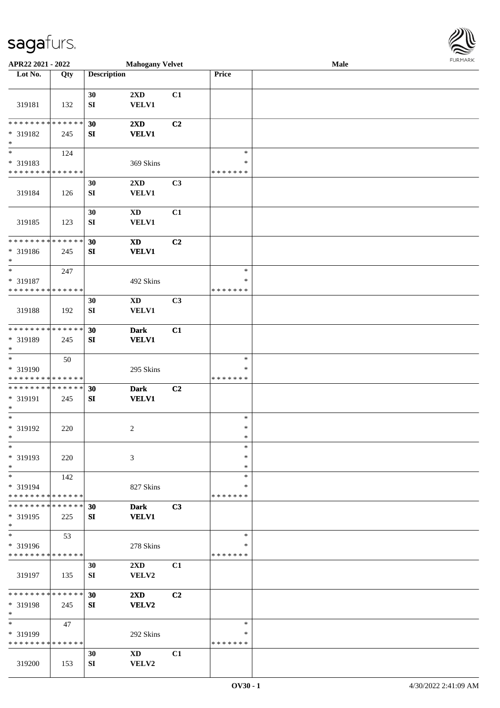| APR22 2021 - 2022                          |     |                    | <b>Mahogany Velvet</b>  |                |               | Male |  |
|--------------------------------------------|-----|--------------------|-------------------------|----------------|---------------|------|--|
| Lot No.                                    | Qty | <b>Description</b> |                         |                | Price         |      |  |
|                                            |     |                    |                         |                |               |      |  |
|                                            |     | 30                 | 2XD                     | C1             |               |      |  |
| 319181                                     | 132 | SI                 | <b>VELV1</b>            |                |               |      |  |
|                                            |     |                    |                         |                |               |      |  |
| * * * * * * * * <mark>* * * * * *</mark>   |     | 30                 | $2\mathbf{X}\mathbf{D}$ | C <sub>2</sub> |               |      |  |
|                                            |     |                    |                         |                |               |      |  |
| * 319182                                   | 245 | SI                 | <b>VELV1</b>            |                |               |      |  |
| $\ast$                                     |     |                    |                         |                |               |      |  |
| $\overline{\ast}$                          | 124 |                    |                         |                | $\ast$        |      |  |
| * 319183                                   |     |                    | 369 Skins               |                | $\ast$        |      |  |
| * * * * * * * * * * * * * *                |     |                    |                         |                | * * * * * * * |      |  |
|                                            |     | 30                 | $2\mathbf{X}\mathbf{D}$ | C3             |               |      |  |
| 319184                                     | 126 | ${\bf SI}$         | <b>VELV1</b>            |                |               |      |  |
|                                            |     |                    |                         |                |               |      |  |
|                                            |     | 30                 | <b>XD</b>               | C1             |               |      |  |
|                                            |     |                    |                         |                |               |      |  |
| 319185                                     | 123 | SI                 | <b>VELV1</b>            |                |               |      |  |
|                                            |     |                    |                         |                |               |      |  |
| * * * * * * * * <mark>* * * * * * *</mark> |     | 30                 | <b>XD</b>               | C <sub>2</sub> |               |      |  |
| * 319186                                   | 245 | SI                 | <b>VELV1</b>            |                |               |      |  |
| $\ast$                                     |     |                    |                         |                |               |      |  |
| $\ast$                                     | 247 |                    |                         |                | $\ast$        |      |  |
| * 319187                                   |     |                    | 492 Skins               |                | ∗             |      |  |
| * * * * * * * * <mark>* * * * * *</mark>   |     |                    |                         |                | * * * * * * * |      |  |
|                                            |     | 30                 | XD                      | C <sub>3</sub> |               |      |  |
| 319188                                     | 192 | SI                 | <b>VELV1</b>            |                |               |      |  |
|                                            |     |                    |                         |                |               |      |  |
| * * * * * * * * <mark>* * * * * *</mark>   |     |                    |                         |                |               |      |  |
|                                            |     | 30                 | <b>Dark</b>             | C1             |               |      |  |
| * 319189                                   | 245 | SI                 | <b>VELV1</b>            |                |               |      |  |
| $\ast$                                     |     |                    |                         |                |               |      |  |
| $\overline{\ast}$                          | 50  |                    |                         |                | $\ast$        |      |  |
| * 319190                                   |     |                    | 295 Skins               |                | *             |      |  |
| * * * * * * * * <mark>* * * * * * *</mark> |     |                    |                         |                | *******       |      |  |
| * * * * * * * * <mark>* * * * * * *</mark> |     | 30                 | <b>Dark</b>             | C <sub>2</sub> |               |      |  |
| * 319191                                   | 245 | SI                 | <b>VELV1</b>            |                |               |      |  |
| $\ast$                                     |     |                    |                         |                |               |      |  |
| $\ast$                                     |     |                    |                         |                | $\ast$        |      |  |
| * 319192                                   | 220 |                    | $\overline{c}$          |                | $\ast$        |      |  |
| $*$                                        |     |                    |                         |                | $\ast$        |      |  |
| $\ast$                                     |     |                    |                         |                | $\ast$        |      |  |
|                                            |     |                    |                         |                |               |      |  |
| * 319193                                   | 220 |                    | 3                       |                | $\ast$        |      |  |
| $*$                                        |     |                    |                         |                | $\ast$        |      |  |
| $*$                                        | 142 |                    |                         |                | $\ast$        |      |  |
| * 319194                                   |     |                    | 827 Skins               |                | ∗             |      |  |
| * * * * * * * * <mark>* * * * * *</mark>   |     |                    |                         |                | *******       |      |  |
| * * * * * * * * * * * * * * *              |     | 30                 | <b>Dark</b>             | C3             |               |      |  |
| * 319195                                   | 225 | SI                 | <b>VELV1</b>            |                |               |      |  |
| $*$                                        |     |                    |                         |                |               |      |  |
| $\ast$                                     | 53  |                    |                         |                | $\ast$        |      |  |
|                                            |     |                    |                         |                | ∗             |      |  |
| * 319196                                   |     |                    | 278 Skins               |                |               |      |  |
| * * * * * * * * * * * * * *                |     |                    |                         |                | *******       |      |  |
|                                            |     | 30                 | $2\mathbf{X}\mathbf{D}$ | C1             |               |      |  |
| 319197                                     | 135 | SI                 | VELV2                   |                |               |      |  |
|                                            |     |                    |                         |                |               |      |  |
| * * * * * * * * <mark>* * * * * *</mark> * |     | 30                 | $2\mathbf{X}\mathbf{D}$ | C <sub>2</sub> |               |      |  |
| * 319198                                   | 245 | SI                 | VELV2                   |                |               |      |  |
| $\ast$                                     |     |                    |                         |                |               |      |  |
| $\ast$                                     | 47  |                    |                         |                | $\ast$        |      |  |
| * 319199                                   |     |                    | 292 Skins               |                | ∗             |      |  |
| * * * * * * * * * * * * * *                |     |                    |                         |                | * * * * * * * |      |  |
|                                            |     |                    |                         | C1             |               |      |  |
|                                            |     | 30                 | XD                      |                |               |      |  |
| 319200                                     | 153 | SI                 | VELV2                   |                |               |      |  |

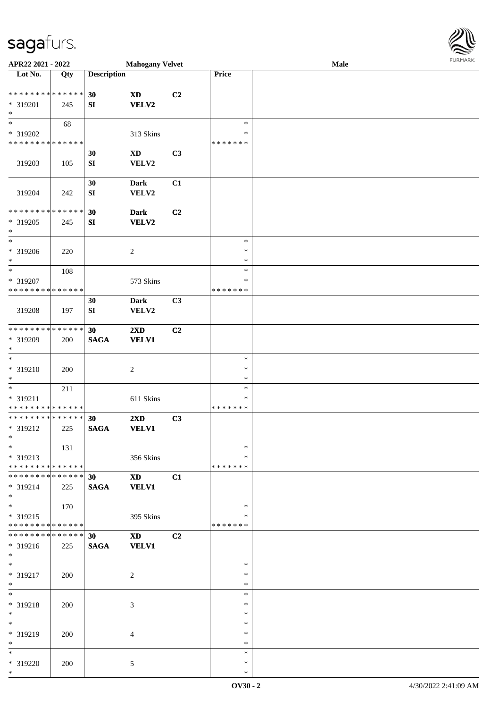| APR22 2021 - 2022                                                                        |     |                    | <b>Mahogany Velvet</b>  |                |               | Male |  |
|------------------------------------------------------------------------------------------|-----|--------------------|-------------------------|----------------|---------------|------|--|
| Lot No.                                                                                  | Qty | <b>Description</b> |                         |                | Price         |      |  |
|                                                                                          |     |                    |                         |                |               |      |  |
| ******** <mark>******</mark>                                                             |     | 30                 | <b>XD</b>               | C2             |               |      |  |
| * 319201                                                                                 | 245 | SI                 | <b>VELV2</b>            |                |               |      |  |
| $\ast$                                                                                   |     |                    |                         |                |               |      |  |
|                                                                                          | 68  |                    |                         |                | $\ast$        |      |  |
| * 319202                                                                                 |     |                    | 313 Skins               |                | ∗             |      |  |
| * * * * * * * * <mark>* * * * * * *</mark>                                               |     |                    |                         |                | * * * * * * * |      |  |
|                                                                                          |     | 30                 | <b>XD</b>               | C3             |               |      |  |
| 319203                                                                                   | 105 | ${\bf SI}$         | VELV2                   |                |               |      |  |
|                                                                                          |     |                    |                         |                |               |      |  |
|                                                                                          |     | 30                 | Dark                    | C1             |               |      |  |
| 319204                                                                                   | 242 | ${\bf S}{\bf I}$   | VELV2                   |                |               |      |  |
|                                                                                          |     |                    |                         |                |               |      |  |
| * * * * * * * * <mark>* * * * * * *</mark>                                               |     | 30                 | <b>Dark</b>             | C2             |               |      |  |
| * 319205                                                                                 | 245 | SI                 | VELV2                   |                |               |      |  |
| *                                                                                        |     |                    |                         |                |               |      |  |
| $\ast$                                                                                   |     |                    |                         |                | $\ast$        |      |  |
| * 319206                                                                                 | 220 |                    | $\overline{c}$          |                | $\ast$        |      |  |
| $\ast$                                                                                   |     |                    |                         |                | *             |      |  |
| $\overline{\ast}$                                                                        | 108 |                    |                         |                | $\ast$        |      |  |
| * 319207                                                                                 |     |                    | 573 Skins               |                | ∗             |      |  |
| * * * * * * * * <mark>* * * * * * *</mark>                                               |     |                    |                         |                | * * * * * * * |      |  |
|                                                                                          |     | 30                 | Dark                    | C3             |               |      |  |
| 319208                                                                                   | 197 | SI                 | VELV2                   |                |               |      |  |
|                                                                                          |     |                    |                         |                |               |      |  |
| * * * * * * * * <mark>* * * * * * *</mark>                                               |     | 30                 | 2XD                     | C2             |               |      |  |
| * 319209                                                                                 | 200 | <b>SAGA</b>        | <b>VELV1</b>            |                |               |      |  |
| $\ast$                                                                                   |     |                    |                         |                |               |      |  |
| $\ast$                                                                                   |     |                    |                         |                | $\ast$        |      |  |
| * 319210                                                                                 |     |                    |                         |                | $\ast$        |      |  |
| $*$                                                                                      | 200 |                    | 2                       |                | $\ast$        |      |  |
|                                                                                          |     |                    |                         |                | $\ast$        |      |  |
|                                                                                          | 211 |                    |                         |                | *             |      |  |
| * 319211<br>* * * * * * * * <mark>* * * * * * *</mark>                                   |     |                    | 611 Skins               |                | *******       |      |  |
| * * * * * * * * <mark>* * * * * * *</mark>                                               |     | 30                 | $2\mathbf{X}\mathbf{D}$ | C3             |               |      |  |
| * 319212                                                                                 |     |                    | <b>VELV1</b>            |                |               |      |  |
| $*$                                                                                      | 225 | <b>SAGA</b>        |                         |                |               |      |  |
| $\ast$                                                                                   |     |                    |                         |                | $\ast$        |      |  |
|                                                                                          | 131 |                    |                         |                | ∗             |      |  |
| * 319213<br>* * * * * * * * <mark>* * * * * * *</mark>                                   |     |                    | 356 Skins               |                | * * * * * * * |      |  |
| * * * * * * * * <mark>* * * * * * *</mark>                                               |     |                    |                         |                |               |      |  |
|                                                                                          |     | 30                 | <b>XD</b>               | C1             |               |      |  |
| * 319214                                                                                 | 225 | <b>SAGA</b>        | <b>VELV1</b>            |                |               |      |  |
| $\ast$<br>$\ddot{x}$                                                                     |     |                    |                         |                |               |      |  |
|                                                                                          | 170 |                    |                         |                | $\ast$        |      |  |
| * 319215                                                                                 |     |                    | 395 Skins               |                | ∗             |      |  |
| * * * * * * * * <mark>* * * * * *</mark> *<br>* * * * * * * * * * * * * * <mark>*</mark> |     |                    |                         |                | *******       |      |  |
|                                                                                          |     | 30 <sub>1</sub>    | XD 3                    | C <sub>2</sub> |               |      |  |
| * 319216                                                                                 | 225 | <b>SAGA</b>        | <b>VELV1</b>            |                |               |      |  |
| $*$<br>$\overline{\mathbf{r}}$                                                           |     |                    |                         |                |               |      |  |
|                                                                                          |     |                    |                         |                | $\ast$        |      |  |
| * 319217                                                                                 | 200 |                    | 2                       |                | $\ast$        |      |  |
| $*$                                                                                      |     |                    |                         |                | $\ast$        |      |  |
| $*$                                                                                      |     |                    |                         |                | $\ast$        |      |  |
| * 319218                                                                                 | 200 |                    | 3                       |                | $\ast$        |      |  |
| $*$                                                                                      |     |                    |                         |                | $\ast$        |      |  |
| $\ast$                                                                                   |     |                    |                         |                | $\ast$        |      |  |
| * 319219                                                                                 | 200 |                    | $\overline{4}$          |                | ∗             |      |  |
| $*$                                                                                      |     |                    |                         |                | $\ast$        |      |  |
| $\ddot{x}$                                                                               |     |                    |                         |                | $\ast$        |      |  |
| * 319220                                                                                 | 200 |                    | 5                       |                | $\ast$        |      |  |

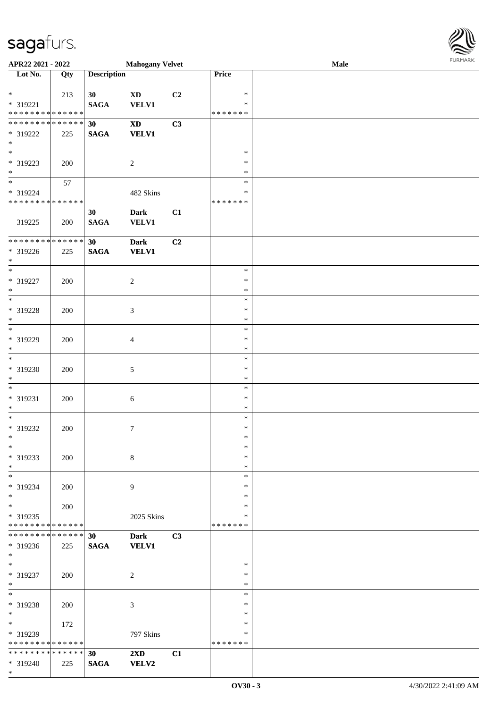| APR22 2021 - 2022                           |     |                    | <b>Mahogany Velvet</b>  |    |                  | Male | <b>FURPIARA</b> |
|---------------------------------------------|-----|--------------------|-------------------------|----|------------------|------|-----------------|
| Lot No.                                     | Qty | <b>Description</b> |                         |    | Price            |      |                 |
|                                             |     |                    |                         |    |                  |      |                 |
| $*$                                         | 213 | 30 <sup>°</sup>    | $\mathbf{X}\mathbf{D}$  | C2 | $\ast$           |      |                 |
| $* 319221$                                  |     | <b>SAGA</b>        | <b>VELV1</b>            |    | $\ast$           |      |                 |
| * * * * * * * * <mark>* * * * * * *</mark>  |     |                    |                         |    | * * * * * * *    |      |                 |
|                                             |     | 30                 | $\mathbf{X}\mathbf{D}$  | C3 |                  |      |                 |
| * 319222                                    | 225 | <b>SAGA</b>        | <b>VELV1</b>            |    |                  |      |                 |
| $\ast$<br>$*$                               |     |                    |                         |    | $\ast$           |      |                 |
|                                             |     |                    |                         |    | $\ast$           |      |                 |
| * 319223<br>$*$                             | 200 |                    | 2                       |    | $\ast$           |      |                 |
| $\ddot{x}$                                  | 57  |                    |                         |    | $\ast$           |      |                 |
| * 319224                                    |     |                    | 482 Skins               |    | ∗                |      |                 |
| * * * * * * * * * * * * * *                 |     |                    |                         |    | * * * * * * *    |      |                 |
|                                             |     | 30                 | <b>Dark</b>             | C1 |                  |      |                 |
| 319225                                      | 200 | <b>SAGA</b>        | <b>VELV1</b>            |    |                  |      |                 |
|                                             |     |                    |                         |    |                  |      |                 |
| ******** <mark>*</mark> ****** <sup> </sup> |     | 30                 | <b>Dark</b>             | C2 |                  |      |                 |
| * 319226                                    | 225 | <b>SAGA</b>        | <b>VELV1</b>            |    |                  |      |                 |
| $*$                                         |     |                    |                         |    |                  |      |                 |
| $\ast$                                      |     |                    |                         |    | $\ast$           |      |                 |
| * 319227                                    | 200 |                    | $\overline{2}$          |    | $\ast$           |      |                 |
| $\ast$                                      |     |                    |                         |    | $\ast$           |      |                 |
|                                             |     |                    |                         |    | $\ast$           |      |                 |
| * 319228                                    | 200 |                    | 3                       |    | $\ast$           |      |                 |
| $\ast$                                      |     |                    |                         |    | $\ast$           |      |                 |
|                                             |     |                    |                         |    | $\ast$           |      |                 |
| * 319229                                    | 200 |                    | $\overline{4}$          |    | $\ast$           |      |                 |
| $\ast$                                      |     |                    |                         |    | $\ast$           |      |                 |
| $\overline{\ast}$                           |     |                    |                         |    | $\ast$           |      |                 |
| * 319230                                    | 200 |                    | 5                       |    | $\ast$           |      |                 |
| $\ast$<br>$\overline{\ast}$                 |     |                    |                         |    | $\ast$           |      |                 |
|                                             |     |                    |                         |    | $\ast$           |      |                 |
| * 319231                                    | 200 |                    | $\sqrt{6}$              |    | $\ast$           |      |                 |
| $\ast$<br>$*$                               |     |                    |                         |    | $\ast$           |      |                 |
|                                             |     |                    |                         |    | $\ast$<br>$\ast$ |      |                 |
| * 319232<br>$\ddot{x}$                      | 200 |                    | $\boldsymbol{7}$        |    | *                |      |                 |
| $\ast$                                      |     |                    |                         |    | $\ast$           |      |                 |
| * 319233                                    |     |                    | $\,8\,$                 |    | $\ast$           |      |                 |
| $\ast$                                      | 200 |                    |                         |    | $\ast$           |      |                 |
| $\ast$                                      |     |                    |                         |    | $\ast$           |      |                 |
| * 319234                                    | 200 |                    | 9                       |    | $\ast$           |      |                 |
| $\ast$                                      |     |                    |                         |    | $\ast$           |      |                 |
| $*$                                         | 200 |                    |                         |    | $\ast$           |      |                 |
| * 319235                                    |     |                    | 2025 Skins              |    | ∗                |      |                 |
| * * * * * * * * <mark>* * * * * *</mark> *  |     |                    |                         |    | * * * * * * *    |      |                 |
| * * * * * * * * * * * * * * <mark>*</mark>  |     | 30                 | <b>Dark</b>             | C3 |                  |      |                 |
| * 319236                                    | 225 | <b>SAGA</b>        | <b>VELV1</b>            |    |                  |      |                 |
| $\ast$                                      |     |                    |                         |    |                  |      |                 |
| $\overline{\phantom{0}}$                    |     |                    |                         |    | $\ast$           |      |                 |
| * 319237                                    | 200 |                    | 2                       |    | $\ast$           |      |                 |
| $\ast$                                      |     |                    |                         |    | $\ast$           |      |                 |
| $*$                                         |     |                    |                         |    | $\ast$           |      |                 |
| * 319238                                    | 200 |                    | 3                       |    | $\ast$           |      |                 |
| $*$                                         |     |                    |                         |    | $\ast$           |      |                 |
| $\overline{\ast}$                           | 172 |                    |                         |    | $\ast$           |      |                 |
| * 319239                                    |     |                    | 797 Skins               |    | $\ast$           |      |                 |
| * * * * * * * * <mark>* * * * * *</mark>    |     |                    |                         |    | *******          |      |                 |
| * * * * * * * * * * * * * * *               |     | 30 <sup>°</sup>    | $2\mathbf{X}\mathbf{D}$ | C1 |                  |      |                 |
| * 319240                                    | 225 | <b>SAGA</b>        | <b>VELV2</b>            |    |                  |      |                 |

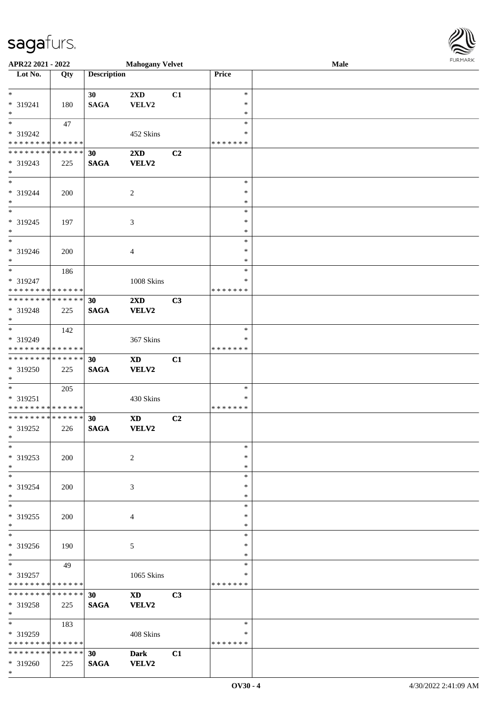| APR22 2021 - 2022                    |     |                    | <b>Mahogany Velvet</b> |                |               | Male | <b>FURMARK</b> |
|--------------------------------------|-----|--------------------|------------------------|----------------|---------------|------|----------------|
| Lot No.                              | Qty | <b>Description</b> |                        |                | Price         |      |                |
| $*$                                  |     | 30                 | 2XD                    | C1             | $\ast$        |      |                |
| * 319241                             | 180 | <b>SAGA</b>        | VELV2                  |                | $\ast$        |      |                |
| $\ast$                               |     |                    |                        |                | $\ast$        |      |                |
| $\overline{\phantom{a}^*}$           | 47  |                    |                        |                | $\ast$        |      |                |
| * 319242                             |     |                    | 452 Skins              |                | *             |      |                |
| **************                       |     |                    |                        |                | *******       |      |                |
| * * * * * * * * * * * * * * *        |     | 30                 | 2XD                    | C2             |               |      |                |
| * 319243                             | 225 | <b>SAGA</b>        | <b>VELV2</b>           |                |               |      |                |
| $*$                                  |     |                    |                        |                |               |      |                |
| $\ast$                               |     |                    |                        |                | $\ast$        |      |                |
| * 319244                             | 200 |                    |                        |                | $\ast$        |      |                |
| $*$                                  |     |                    | $\overline{c}$         |                | $\ast$        |      |                |
| $\overline{\phantom{1}}$             |     |                    |                        |                | $\ast$        |      |                |
|                                      |     |                    |                        |                |               |      |                |
| * 319245                             | 197 |                    | 3                      |                | $\ast$        |      |                |
| $\ast$                               |     |                    |                        |                | $\ast$        |      |                |
| $\ast$                               |     |                    |                        |                | $\ast$        |      |                |
| * 319246                             | 200 |                    | $\overline{4}$         |                | $\ast$        |      |                |
| $\ast$                               |     |                    |                        |                | $\ast$        |      |                |
| $*$                                  | 186 |                    |                        |                | $\ast$        |      |                |
| * 319247                             |     |                    | 1008 Skins             |                | ∗             |      |                |
| ******** <mark>*****</mark> *        |     |                    |                        |                | * * * * * * * |      |                |
| **************                       |     | 30                 | 2XD                    | C3             |               |      |                |
| * 319248                             | 225 | <b>SAGA</b>        | <b>VELV2</b>           |                |               |      |                |
| $\ast$                               |     |                    |                        |                |               |      |                |
| $_{\ast}^{-}$                        | 142 |                    |                        |                | $\ast$        |      |                |
| * 319249                             |     |                    | 367 Skins              |                | $\ast$        |      |                |
| **************                       |     |                    |                        |                | * * * * * * * |      |                |
| ******** <mark>*****</mark> *        |     | 30                 | $\mathbf{X}\mathbf{D}$ | C1             |               |      |                |
| * 319250                             | 225 | <b>SAGA</b>        | VELV2                  |                |               |      |                |
| $\ast$                               |     |                    |                        |                |               |      |                |
| $_{\ast}^{-}$                        | 205 |                    |                        |                | $\ast$        |      |                |
| * 319251                             |     |                    | 430 Skins              |                | $\ast$        |      |                |
| * * * * * * * * * * * * * *          |     |                    |                        |                | *******       |      |                |
| **************                       |     | 30                 | <b>XD</b>              | C <sub>2</sub> |               |      |                |
| * 319252                             | 226 | <b>SAGA</b>        | <b>VELV2</b>           |                |               |      |                |
| $\ast$                               |     |                    |                        |                |               |      |                |
| $\ast$                               |     |                    |                        |                | $\ast$        |      |                |
| * 319253                             |     |                    |                        |                | ∗             |      |                |
| $\ast$                               | 200 |                    | 2                      |                | $\ast$        |      |                |
| $\overline{\phantom{a}^*}$           |     |                    |                        |                | $\ast$        |      |                |
|                                      |     |                    |                        |                |               |      |                |
| * 319254                             | 200 |                    | 3                      |                | $\ast$        |      |                |
| $\ast$<br>$\overline{\phantom{a}^*}$ |     |                    |                        |                | $\ast$        |      |                |
|                                      |     |                    |                        |                | $\ast$        |      |                |
| * 319255                             | 200 |                    | $\overline{4}$         |                | $\ast$        |      |                |
| $\ast$                               |     |                    |                        |                | $\ast$        |      |                |
| $\ast$                               |     |                    |                        |                | $\ast$        |      |                |
| * 319256                             | 190 |                    | 5                      |                | $\ast$        |      |                |
| $\ast$                               |     |                    |                        |                | ∗             |      |                |
| $\ast$                               | 49  |                    |                        |                | $\ast$        |      |                |
| * 319257                             |     |                    | 1065 Skins             |                | $\ast$        |      |                |
| **************                       |     |                    |                        |                | * * * * * * * |      |                |
| ******** <mark>******</mark>         |     | 30                 | <b>XD</b>              | C3             |               |      |                |
| $* 319258$                           | 225 | <b>SAGA</b>        | VELV2                  |                |               |      |                |
| $\ast$                               |     |                    |                        |                |               |      |                |
| $\ast$                               | 183 |                    |                        |                | $\ast$        |      |                |
| * 319259                             |     |                    | 408 Skins              |                | ∗             |      |                |
| ******** <mark>*****</mark> *        |     |                    |                        |                | * * * * * * * |      |                |
| **************                       |     | 30                 | <b>Dark</b>            | C1             |               |      |                |
| * 319260                             | 225 | <b>SAGA</b>        | <b>VELV2</b>           |                |               |      |                |

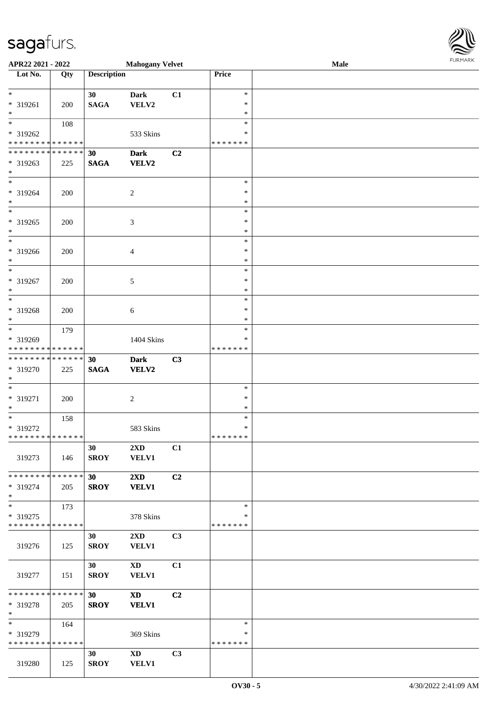| APR22 2021 - 2022                                                                 |     |                    | <b>Mahogany Velvet</b>                  |                |                                   | Male | FURMARK |
|-----------------------------------------------------------------------------------|-----|--------------------|-----------------------------------------|----------------|-----------------------------------|------|---------|
| Lot No.                                                                           | Qty | <b>Description</b> |                                         |                | Price                             |      |         |
| $*$<br>* 319261<br>$\ast$                                                         | 200 | 30<br><b>SAGA</b>  | <b>Dark</b><br>VELV2                    | C1             | $\ast$<br>$\ast$<br>$\ast$        |      |         |
| $\overline{\ast}$<br>* 319262<br>* * * * * * * * <mark>* * * * * * *</mark>       | 108 |                    | 533 Skins                               |                | $\ast$<br>*<br>*******            |      |         |
| * * * * * * * * <mark>* * * * * * *</mark><br>* 319263<br>$\ast$                  | 225 | 30<br><b>SAGA</b>  | <b>Dark</b><br>VELV2                    | C2             |                                   |      |         |
| * 319264<br>$*$                                                                   | 200 |                    | 2                                       |                | $\ast$<br>$\ast$<br>$\ast$        |      |         |
| $\overline{\ast}$<br>* 319265<br>$*$                                              | 200 |                    | 3                                       |                | $\ast$<br>∗<br>$\ast$             |      |         |
| $\overline{\phantom{0}}$<br>* 319266<br>$\ast$                                    | 200 |                    | $\overline{4}$                          |                | $\ast$<br>$\ast$<br>$\ast$        |      |         |
| $\overline{\ast}$<br>* 319267<br>$\ast$                                           | 200 |                    | 5                                       |                | $\ast$<br>$\ast$<br>$\ast$        |      |         |
| $\overline{\ }$<br>* 319268<br>$*$                                                | 200 |                    | $\boldsymbol{6}$                        |                | $\ast$<br>∗<br>$\ast$             |      |         |
| $\overline{\mathbf{r}}$<br>* 319269<br>* * * * * * * * <mark>* * * * * * *</mark> | 179 |                    | 1404 Skins                              |                | $\ast$<br>$\ast$<br>* * * * * * * |      |         |
| * * * * * * * * * * * * * * <mark>*</mark><br>* 319270<br>$\ast$                  | 225 | 30<br><b>SAGA</b>  | <b>Dark</b><br><b>VELV2</b>             | C3             |                                   |      |         |
| * 319271<br>$*$                                                                   | 200 |                    | 2                                       |                | $\ast$<br>$\ast$<br>$\ast$        |      |         |
| * 319272<br>* * * * * * * * * * * * * *                                           | 158 |                    | 583 Skins                               |                | $\ast$<br>$\ast$<br>* * * * * * * |      |         |
| 319273                                                                            | 146 | 30<br><b>SROY</b>  | 2XD<br><b>VELV1</b>                     | C1             |                                   |      |         |
| * * * * * * * * <mark>* * * * * *</mark><br>* 319274<br>$\ast$                    | 205 | 30<br><b>SROY</b>  | $2\mathbf{X}\mathbf{D}$<br><b>VELV1</b> | C <sub>2</sub> |                                   |      |         |
| $\ast$<br>* 319275<br>* * * * * * * * * * * * * *                                 | 173 |                    | 378 Skins                               |                | $\ast$<br>$\ast$<br>* * * * * * * |      |         |
| 319276                                                                            | 125 | 30<br><b>SROY</b>  | $2\mathbf{X}\mathbf{D}$<br><b>VELV1</b> | C3             |                                   |      |         |
| 319277                                                                            | 151 | 30<br><b>SROY</b>  | $\mathbf{X}\mathbf{D}$<br><b>VELV1</b>  | C1             |                                   |      |         |
| * * * * * * * * <mark>* * * * * *</mark> *<br>* 319278<br>$\ast$                  | 205 | 30<br><b>SROY</b>  | <b>XD</b><br><b>VELV1</b>               | C2             |                                   |      |         |
| $\ast$<br>* 319279<br>* * * * * * * * <mark>* * * * * * *</mark>                  | 164 |                    | 369 Skins                               |                | $\ast$<br>∗<br>* * * * * * *      |      |         |
| 319280                                                                            | 125 | 30<br><b>SROY</b>  | $\mathbf{X}\mathbf{D}$<br><b>VELV1</b>  | C3             |                                   |      |         |

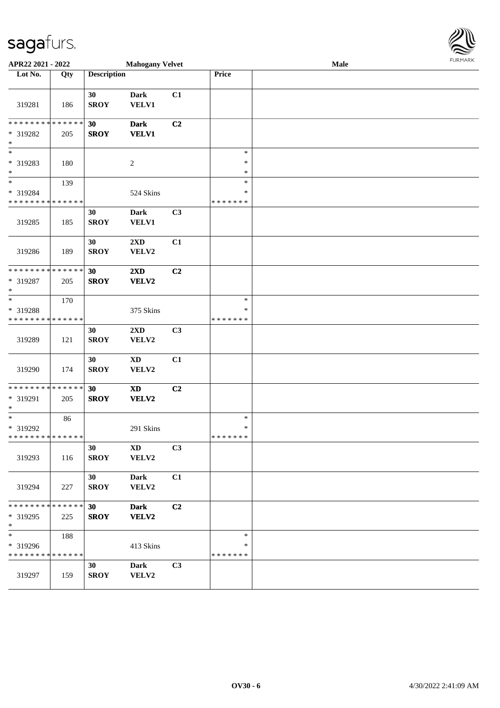| APR22 2021 - 2022                                                |     |                    | <b>Mahogany Velvet</b>                     |    |                                   | Male | $1 \times 1$ |
|------------------------------------------------------------------|-----|--------------------|--------------------------------------------|----|-----------------------------------|------|--------------|
| Lot No.                                                          | Qty | <b>Description</b> |                                            |    | Price                             |      |              |
| 319281                                                           | 186 | 30<br><b>SROY</b>  | <b>Dark</b><br><b>VELV1</b>                | C1 |                                   |      |              |
| * * * * * * * * <mark>* * * * * * *</mark><br>* 319282<br>$\ast$ | 205 | 30<br><b>SROY</b>  | <b>Dark</b><br><b>VELV1</b>                | C2 |                                   |      |              |
| * 319283<br>$\ast$                                               | 180 |                    | $\overline{c}$                             |    | $\ast$<br>$\ast$<br>$\ast$        |      |              |
| $\overline{\ast}$<br>* 319284<br>* * * * * * * * * * * * * *     | 139 |                    | 524 Skins                                  |    | $\ast$<br>$\ast$<br>* * * * * * * |      |              |
| 319285                                                           | 185 | 30<br><b>SROY</b>  | <b>Dark</b><br><b>VELV1</b>                | C3 |                                   |      |              |
| 319286                                                           | 189 | 30<br><b>SROY</b>  | $2\mathbf{X}\mathbf{D}$<br>VELV2           | C1 |                                   |      |              |
| * * * * * * * * <mark>* * * * * * *</mark><br>* 319287<br>$\ast$ | 205 | 30<br><b>SROY</b>  | $2\mathbf{X}\mathbf{D}$<br>VELV2           | C2 |                                   |      |              |
| $\ast$<br>* 319288<br>* * * * * * * * <mark>* * * * * * *</mark> | 170 |                    | 375 Skins                                  |    | $\ast$<br>∗<br>* * * * * * *      |      |              |
| 319289                                                           | 121 | 30<br><b>SROY</b>  | 2XD<br>VELV2                               | C3 |                                   |      |              |
| 319290                                                           | 174 | 30<br><b>SROY</b>  | <b>XD</b><br>VELV2                         | C1 |                                   |      |              |
| * * * * * * * * <mark>* * * * * * *</mark><br>* 319291<br>$*$    | 205 | 30<br><b>SROY</b>  | $\boldsymbol{\mathrm{XD}}$<br><b>VELV2</b> | C2 |                                   |      |              |
| * 319292<br>* * * * * * * * * * * * * * *                        | 86  |                    | 291 Skins                                  |    | $\ast$<br>$\ast$<br>*******       |      |              |
| 319293                                                           | 116 | 30<br><b>SROY</b>  | $\mathbf{X}\mathbf{D}$<br>VELV2            | C3 |                                   |      |              |
| 319294                                                           | 227 | 30<br><b>SROY</b>  | <b>Dark</b><br>VELV2                       | C1 |                                   |      |              |
| * * * * * * * * <mark>* * * * * *</mark><br>* 319295<br>$\ast$   | 225 | 30<br><b>SROY</b>  | <b>Dark</b><br>VELV2                       | C2 |                                   |      |              |
| $\ast$<br>* 319296<br>* * * * * * * * <mark>* * * * * * *</mark> | 188 |                    | 413 Skins                                  |    | $\ast$<br>∗<br>* * * * * * *      |      |              |
| 319297                                                           | 159 | 30<br><b>SROY</b>  | <b>Dark</b><br>VELV2                       | C3 |                                   |      |              |

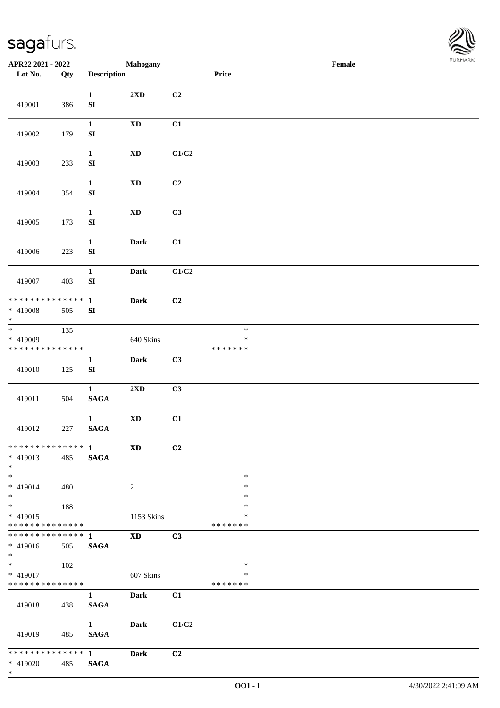

| APR22 2021 - 2022                        |     |                                  | <b>Mahogany</b>            |                           |                         | Female |  |
|------------------------------------------|-----|----------------------------------|----------------------------|---------------------------|-------------------------|--------|--|
| Lot No.                                  | Qty | <b>Description</b>               |                            |                           | Price                   |        |  |
| 419001                                   | 386 | $\mathbf{1}$<br>${\bf S}{\bf I}$ | 2XD                        | C2                        |                         |        |  |
|                                          |     |                                  |                            |                           |                         |        |  |
| 419002                                   | 179 | $\mathbf{1}$<br>${\bf S}{\bf I}$ | $\boldsymbol{\mathrm{XD}}$ | C1                        |                         |        |  |
| 419003                                   | 233 | $\mathbf{1}$<br>${\bf S}{\bf I}$ | $\mathbf{X}\mathbf{D}$     | $\mathbf{C1}/\mathbf{C2}$ |                         |        |  |
| 419004                                   | 354 | $\mathbf{1}$<br>${\bf SI}$       | $\mathbf{X}\mathbf{D}$     | C2                        |                         |        |  |
| 419005                                   | 173 | $\mathbf{1}$<br>${\bf S}{\bf I}$ | $\mathbf{X}\mathbf{D}$     | C3                        |                         |        |  |
| 419006                                   | 223 | $\mathbf{1}$<br>${\bf S}{\bf I}$ | <b>Dark</b>                | C1                        |                         |        |  |
| 419007                                   | 403 | $\mathbf{1}$<br>${\bf S}{\bf I}$ | Dark                       | C1/C2                     |                         |        |  |
| * * * * * * * * * * * * * * *            |     | $\mathbf{1}$                     | <b>Dark</b>                | C2                        |                         |        |  |
| * 419008<br>$\ast$                       | 505 | SI                               |                            |                           |                         |        |  |
| $_{\ast}^{-}$                            | 135 |                                  |                            |                           | $\ast$                  |        |  |
| * 419009<br>******** <mark>******</mark> |     |                                  | 640 Skins                  |                           | $\ast$<br>* * * * * * * |        |  |
|                                          |     | $\mathbf{1}$                     | Dark                       | C3                        |                         |        |  |
| 419010                                   | 125 | ${\bf S}{\bf I}$                 |                            |                           |                         |        |  |
|                                          |     | $\mathbf{1}$                     | 2XD                        | C3                        |                         |        |  |
| 419011                                   | 504 | $\mathbf{SAGA}$                  |                            |                           |                         |        |  |
|                                          |     | $\mathbf{1}$                     | $\mathbf{X}\mathbf{D}$     | C1                        |                         |        |  |
| 419012                                   | 227 | <b>SAGA</b>                      |                            |                           |                         |        |  |
| ************** 1                         |     |                                  | $\boldsymbol{\mathrm{XD}}$ | C2                        |                         |        |  |
| $* 419013$<br>$*$                        | 485 | <b>SAGA</b>                      |                            |                           |                         |        |  |
| $\overline{\phantom{0}}$<br>* 419014     | 480 |                                  | $\overline{2}$             |                           | $\ast$<br>*             |        |  |
| $*$                                      |     |                                  |                            |                           | $\ast$                  |        |  |
| $\overline{\phantom{0}}$                 | 188 |                                  |                            |                           | $\ast$                  |        |  |
| * 419015<br>******** <mark>******</mark> |     |                                  | 1153 Skins                 |                           | ∗<br>* * * * * * *      |        |  |
| ************** 1                         |     |                                  | <b>XD</b>                  | C3                        |                         |        |  |
| * 419016<br>$*$                          | 505 | <b>SAGA</b>                      |                            |                           |                         |        |  |
| $*$                                      | 102 |                                  |                            |                           | $\ast$                  |        |  |
| * 419017                                 |     |                                  | 607 Skins                  |                           | *                       |        |  |
| * * * * * * * * * * * * * *              |     | $\mathbf{1}$                     | Dark                       | C1                        | * * * * * * *           |        |  |
| 419018                                   | 438 | <b>SAGA</b>                      |                            |                           |                         |        |  |
|                                          |     | $1 \quad \blacksquare$           | <b>Dark</b>                | C1/C2                     |                         |        |  |
| 419019                                   | 485 | <b>SAGA</b>                      |                            |                           |                         |        |  |
| * * * * * * * * * * * * * * *            |     | $1 \quad \blacksquare$           | <b>Dark</b>                | C2                        |                         |        |  |
| * 419020<br>$*$                          | 485 | <b>SAGA</b>                      |                            |                           |                         |        |  |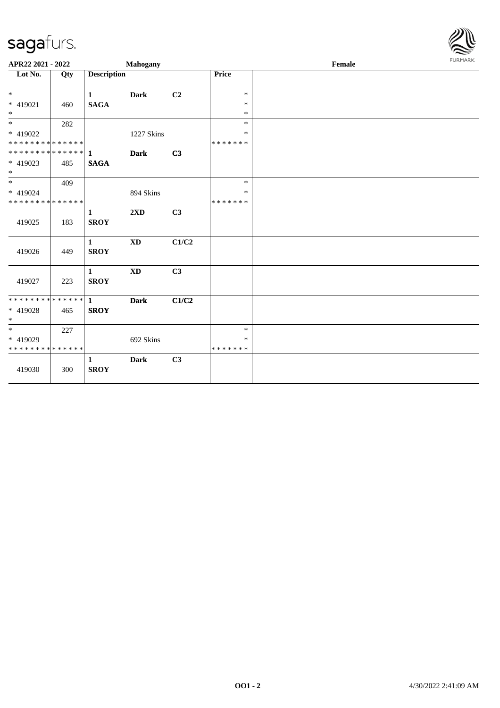

| APR22 2021 - 2022                       |     |                             | Mahogany                |                |                         | Female | <b>FURPIARR</b> |
|-----------------------------------------|-----|-----------------------------|-------------------------|----------------|-------------------------|--------|-----------------|
| $\overline{\text{Lot No.}}$             | Qty | <b>Description</b>          |                         |                | Price                   |        |                 |
| $*$<br>* 419021                         |     | $\mathbf{1}$                | <b>Dark</b>             | C <sub>2</sub> | $\ast$<br>$\ast$        |        |                 |
| $*$                                     | 460 | <b>SAGA</b>                 |                         |                | $\ast$                  |        |                 |
| $*$                                     | 282 |                             |                         |                | $\ast$                  |        |                 |
| * 419022<br>* * * * * * * * * * * * * * |     |                             | 1227 Skins              |                | ∗<br>* * * * * * *      |        |                 |
| **************                          |     | $\mathbf{1}$                | <b>Dark</b>             | C <sub>3</sub> |                         |        |                 |
| * 419023<br>$*$                         | 485 | <b>SAGA</b>                 |                         |                |                         |        |                 |
|                                         | 409 |                             |                         |                | $\ast$                  |        |                 |
| * 419024                                |     |                             | 894 Skins               |                | $\ast$                  |        |                 |
| * * * * * * * * * * * * * *             |     |                             |                         |                | * * * * * * *           |        |                 |
| 419025                                  | 183 | $\mathbf{1}$<br><b>SROY</b> | $2\mathbf{X}\mathbf{D}$ | C3             |                         |        |                 |
| 419026                                  | 449 | $\mathbf{1}$<br><b>SROY</b> | <b>XD</b>               | C1/C2          |                         |        |                 |
| 419027                                  | 223 | $\mathbf{1}$<br><b>SROY</b> | $\mathbf{X}\mathbf{D}$  | C3             |                         |        |                 |
| **************                          |     | $\mathbf{1}$                | <b>Dark</b>             | C1/C2          |                         |        |                 |
| * 419028<br>$\ast$                      | 465 | <b>SROY</b>                 |                         |                |                         |        |                 |
| $\overline{\phantom{0}}$                | 227 |                             |                         |                | $\ast$                  |        |                 |
| * 419029<br>* * * * * * * * * * * * * * |     |                             | 692 Skins               |                | $\ast$<br>* * * * * * * |        |                 |
| 419030                                  | 300 | $\mathbf{1}$<br><b>SROY</b> | <b>Dark</b>             | C3             |                         |        |                 |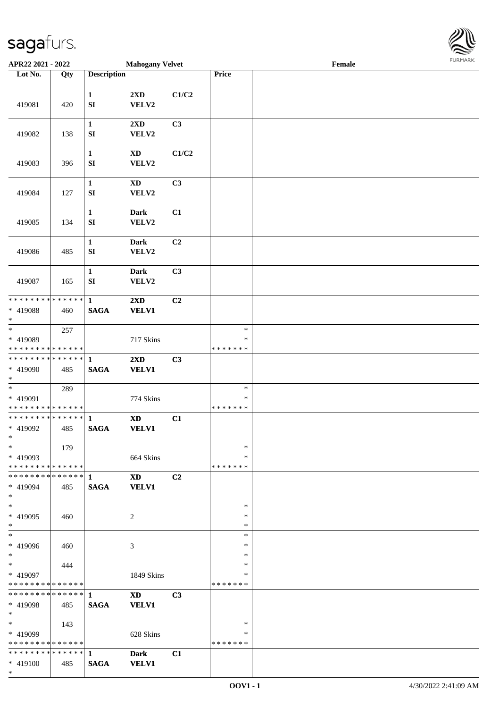

| APR22 2021 - 2022                                    |     |                             | <b>Mahogany Velvet</b>                 |                |                             | Female |  |
|------------------------------------------------------|-----|-----------------------------|----------------------------------------|----------------|-----------------------------|--------|--|
| Lot No.                                              | Qty | <b>Description</b>          |                                        |                | Price                       |        |  |
|                                                      |     |                             |                                        |                |                             |        |  |
| 419081                                               | 420 | $\mathbf{1}$<br>SI          | 2XD<br>VELV2                           | C1/C2          |                             |        |  |
| 419082                                               | 138 | $\mathbf{1}$<br>SI          | 2XD<br>VELV2                           | C3             |                             |        |  |
| 419083                                               | 396 | $\mathbf{1}$<br>SI          | XD<br>VELV2                            | C1/C2          |                             |        |  |
| 419084                                               | 127 | $\mathbf{1}$<br>${\bf SI}$  | $\mathbf{X}\mathbf{D}$<br>VELV2        | C3             |                             |        |  |
| 419085                                               | 134 | $\mathbf{1}$<br>SI          | <b>Dark</b><br>VELV2                   | C1             |                             |        |  |
| 419086                                               | 485 | $\mathbf{1}$<br>SI          | <b>Dark</b><br>VELV2                   | C2             |                             |        |  |
| 419087                                               | 165 | $\mathbf{1}$<br>${\bf SI}$  | <b>Dark</b><br>VELV2                   | C3             |                             |        |  |
| * * * * * * * * * * * * * *                          |     | $\mathbf{1}$                | $2\mathbf{X}\mathbf{D}$                | C2             |                             |        |  |
| * 419088<br>$*$                                      | 460 | <b>SAGA</b>                 | <b>VELV1</b>                           |                |                             |        |  |
| $\overline{\ast}$                                    | 257 |                             |                                        |                | $\ast$                      |        |  |
| * 419089<br>* * * * * * * * * * * * * *              |     |                             | 717 Skins                              |                | $\ast$<br>* * * * * * *     |        |  |
| * * * * * * * * * * * * * * *                        |     | 1                           | 2XD                                    | C3             |                             |        |  |
| * 419090<br>$*$                                      | 485 | <b>SAGA</b>                 | <b>VELV1</b>                           |                |                             |        |  |
| $*$<br>* 419091<br>* * * * * * * * * * * * * *       | 289 |                             | 774 Skins                              |                | $\ast$<br>$\ast$<br>******* |        |  |
| * * * * * * * * * * * * * * *<br>* 419092<br>$*$     | 485 | $\mathbf{1}$<br><b>SAGA</b> | $\mathbf{X}\mathbf{D}$<br><b>VELV1</b> | C1             |                             |        |  |
| $*$<br>* 419093<br>* * * * * * * * * * * * * * *     | 179 |                             | 664 Skins                              |                | $\ast$<br>$\ast$<br>******* |        |  |
| * 419094<br>$*$                                      | 485 | <b>SAGA</b>                 | $\mathbf{X}\mathbf{D}$<br><b>VELV1</b> | C2             |                             |        |  |
| $*$<br>* 419095<br>$*$                               | 460 |                             | 2                                      |                | $\ast$<br>$\ast$<br>$\ast$  |        |  |
| * 419096<br>$*$                                      | 460 |                             | 3                                      |                | $\ast$<br>$\ast$<br>$\ast$  |        |  |
| $*$ $*$<br>* 419097<br>* * * * * * * * * * * * * * * | 444 |                             | 1849 Skins                             |                | $\ast$<br>$\ast$<br>******* |        |  |
| * 419098<br>$*$ $*$                                  | 485 | <b>SAGA</b>                 | <b>XD</b><br><b>VELV1</b>              | C <sub>3</sub> |                             |        |  |
| $*$ $*$<br>* 419099<br>* * * * * * * * * * * * * *   | 143 |                             | 628 Skins                              |                | $\ast$<br>∗<br>*******      |        |  |
| * 419100<br>$*$                                      | 485 | <b>SAGA</b>                 | <b>Dark</b><br><b>VELV1</b>            | C1             |                             |        |  |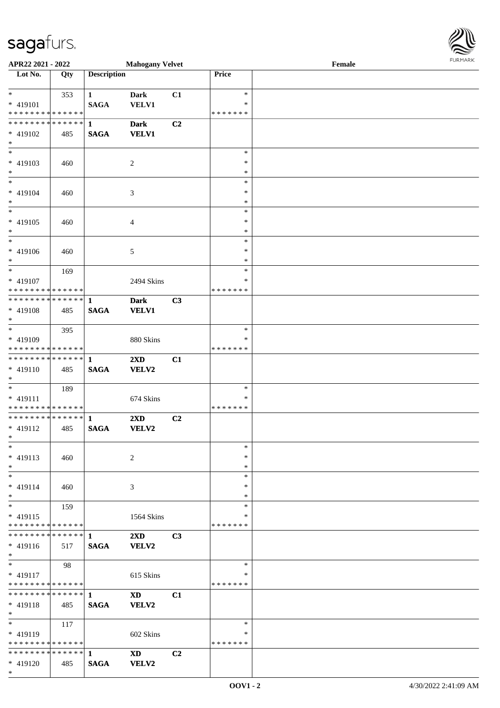| APR22 2021 - 2022                          |     |                    | <b>Mahogany Velvet</b>  |                |               | Female | <b>FURPIARA</b> |
|--------------------------------------------|-----|--------------------|-------------------------|----------------|---------------|--------|-----------------|
| Lot No.                                    | Qty | <b>Description</b> |                         |                | Price         |        |                 |
|                                            |     |                    |                         |                |               |        |                 |
| $*$                                        | 353 | $1 \qquad \qquad$  | <b>Dark</b>             | C1             | $\ast$        |        |                 |
| $* 419101$                                 |     | <b>SAGA</b>        | <b>VELV1</b>            |                | $\ast$        |        |                 |
| * * * * * * * * <mark>* * * * * * *</mark> |     |                    |                         |                | *******       |        |                 |
|                                            |     |                    | <b>Dark</b>             | C2             |               |        |                 |
| * 419102                                   | 485 | <b>SAGA</b>        | <b>VELV1</b>            |                |               |        |                 |
| $*$                                        |     |                    |                         |                |               |        |                 |
| $*$                                        |     |                    |                         |                | $\ast$        |        |                 |
| $* 419103$                                 | 460 |                    | 2                       |                | $\ast$        |        |                 |
| $*$                                        |     |                    |                         |                | $\ast$        |        |                 |
| $\overline{\phantom{0}}$                   |     |                    |                         |                | $\ast$        |        |                 |
| * 419104                                   | 460 |                    | 3                       |                | $\ast$        |        |                 |
| $\ast$                                     |     |                    |                         |                | $\ast$        |        |                 |
| $\overline{\phantom{0}}$                   |     |                    |                         |                | $\ast$        |        |                 |
| * 419105                                   | 460 |                    | 4                       |                | $\ast$        |        |                 |
| $\ast$                                     |     |                    |                         |                | $\ast$        |        |                 |
|                                            |     |                    |                         |                | $\ast$        |        |                 |
| $* 419106$                                 | 460 |                    | 5                       |                | $\ast$        |        |                 |
| $*$                                        |     |                    |                         |                | $\ast$        |        |                 |
| $*$                                        | 169 |                    |                         |                | $\ast$        |        |                 |
| * 419107                                   |     |                    | 2494 Skins              |                | *             |        |                 |
| * * * * * * * * <mark>* * * * * *</mark>   |     |                    |                         |                | * * * * * * * |        |                 |
|                                            |     |                    | <b>Dark</b>             | C3             |               |        |                 |
| * 419108                                   | 485 | <b>SAGA</b>        | <b>VELV1</b>            |                |               |        |                 |
| $\ast$                                     |     |                    |                         |                |               |        |                 |
|                                            | 395 |                    |                         |                | ∗             |        |                 |
| * 419109                                   |     |                    | 880 Skins               |                | *             |        |                 |
| * * * * * * * * <mark>* * * * * *</mark>   |     |                    |                         |                | * * * * * * * |        |                 |
|                                            |     |                    | $2\mathbf{X}\mathbf{D}$ | C1             |               |        |                 |
| $* 419110$                                 | 485 | <b>SAGA</b>        | <b>VELV2</b>            |                |               |        |                 |
| $*$                                        |     |                    |                         |                |               |        |                 |
|                                            | 189 |                    |                         |                | $\ast$        |        |                 |
| * 419111                                   |     |                    | 674 Skins               |                | ∗             |        |                 |
| * * * * * * * * <mark>* * * * * * *</mark> |     |                    |                         |                | * * * * * * * |        |                 |
|                                            |     |                    | $2\mathbf{X}\mathbf{D}$ | C2             |               |        |                 |
| * 419112                                   | 485 | <b>SAGA</b>        | <b>VELV2</b>            |                |               |        |                 |
| $\ddot{x}$                                 |     |                    |                         |                |               |        |                 |
| $\ast$                                     |     |                    |                         |                | $\ast$        |        |                 |
| * 419113                                   | 460 |                    | 2                       |                | ∗             |        |                 |
| $\ast$                                     |     |                    |                         |                | $\ast$        |        |                 |
| $\ast$                                     |     |                    |                         |                | $\ast$        |        |                 |
| $* 419114$                                 | 460 |                    | 3                       |                | $\ast$        |        |                 |
| $\ast$                                     |     |                    |                         |                | $\ast$        |        |                 |
| $*$                                        | 159 |                    |                         |                | $\ast$        |        |                 |
| $* 419115$                                 |     |                    | 1564 Skins              |                | *             |        |                 |
| * * * * * * * * <mark>* * * * * *</mark> * |     |                    |                         |                | * * * * * * * |        |                 |
|                                            |     |                    | $2\mathbf{X}\mathbf{D}$ | C3             |               |        |                 |
| * 419116                                   | 517 | <b>SAGA</b>        | <b>VELV2</b>            |                |               |        |                 |
| $\ast$                                     |     |                    |                         |                |               |        |                 |
| $*$                                        | 98  |                    |                         |                | $\ast$        |        |                 |
| $* 419117$                                 |     |                    | 615 Skins               |                | ∗             |        |                 |
| * * * * * * * * <mark>* * * * * *</mark>   |     |                    |                         |                | *******       |        |                 |
|                                            |     |                    | <b>XD</b>               | C1             |               |        |                 |
| $* 419118$                                 | 485 | <b>SAGA</b>        | VELV2                   |                |               |        |                 |
| $*$ $-$                                    |     |                    |                         |                |               |        |                 |
| $\overline{\mathbf{r}}$                    | 117 |                    |                         |                | $\ast$        |        |                 |
| * 419119                                   |     |                    | 602 Skins               |                | *             |        |                 |
| * * * * * * * * <mark>* * * * * *</mark>   |     |                    |                         |                | *******       |        |                 |
|                                            |     |                    | $\mathbf{X}\mathbf{D}$  | C <sub>2</sub> |               |        |                 |
| * 419120                                   | 485 | <b>SAGA</b>        | <b>VELV2</b>            |                |               |        |                 |

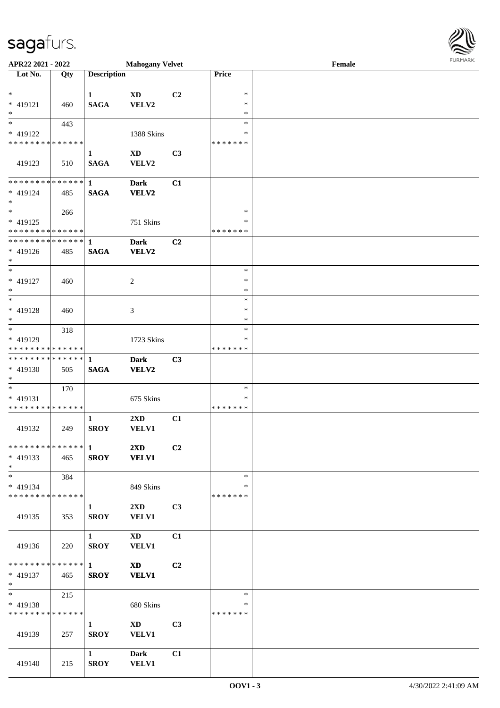| APR22 2021 - 2022                                      |             |                    | <b>Mahogany Velvet</b>                 |                |                    | Female | $1 \times 1 \times 1 \times 1 \times 1$ |
|--------------------------------------------------------|-------------|--------------------|----------------------------------------|----------------|--------------------|--------|-----------------------------------------|
| Lot No.                                                | Qty         | <b>Description</b> |                                        |                | Price              |        |                                         |
|                                                        |             |                    |                                        |                |                    |        |                                         |
| $*$                                                    |             | $\mathbf{1}$       | $\mathbf{X}\mathbf{D}$                 | C2             | $\ast$             |        |                                         |
| * 419121<br>$\ast$                                     | 460         | <b>SAGA</b>        | VELV2                                  |                | $\ast$<br>$\ast$   |        |                                         |
|                                                        | 443         |                    |                                        |                | $\ast$             |        |                                         |
| * 419122                                               |             |                    | 1388 Skins                             |                | ∗                  |        |                                         |
| * * * * * * * * * * * * * *                            |             |                    |                                        |                | * * * * * * *      |        |                                         |
|                                                        |             | $\mathbf{1}$       | $\mathbf{X}\mathbf{D}$                 | C3             |                    |        |                                         |
| 419123                                                 | 510         | <b>SAGA</b>        | VELV2                                  |                |                    |        |                                         |
|                                                        |             |                    |                                        |                |                    |        |                                         |
| **************                                         |             | $\mathbf{1}$       | <b>Dark</b>                            | C1             |                    |        |                                         |
| * 419124                                               | 485         | <b>SAGA</b>        | VELV2                                  |                |                    |        |                                         |
| $\ast$                                                 |             |                    |                                        |                |                    |        |                                         |
| $\overline{\ast}$                                      | 266         |                    |                                        |                | $\ast$             |        |                                         |
| * 419125                                               |             |                    | 751 Skins                              |                | ∗                  |        |                                         |
| * * * * * * * * <mark>* * * * * *</mark>               |             |                    |                                        |                | * * * * * * *      |        |                                         |
| * * * * * * * * <mark>* * * * * * *</mark>             |             | $\mathbf{1}$       | <b>Dark</b>                            | C2             |                    |        |                                         |
| * 419126                                               | 485         | <b>SAGA</b>        | <b>VELV2</b>                           |                |                    |        |                                         |
| $\ast$<br>$*$                                          |             |                    |                                        |                | $\ast$             |        |                                         |
| * 419127                                               | 460         |                    | 2                                      |                | $\ast$             |        |                                         |
| $\ast$                                                 |             |                    |                                        |                | $\ast$             |        |                                         |
| $\overline{\ast}$                                      |             |                    |                                        |                | $\ast$             |        |                                         |
| * 419128                                               | 460         |                    | 3                                      |                | ∗                  |        |                                         |
| $*$                                                    |             |                    |                                        |                | $\ast$             |        |                                         |
|                                                        | 318         |                    |                                        |                | $\ast$             |        |                                         |
| * 419129                                               |             |                    | 1723 Skins                             |                | ∗                  |        |                                         |
| * * * * * * * * <mark>* * * * * * *</mark>             |             |                    |                                        |                | * * * * * * *      |        |                                         |
|                                                        |             |                    | <b>Dark</b>                            | C3             |                    |        |                                         |
| * 419130                                               | 505         | <b>SAGA</b>        | VELV2                                  |                |                    |        |                                         |
| $*$                                                    |             |                    |                                        |                |                    |        |                                         |
| $\ast$                                                 | 170         |                    |                                        |                | $\ast$             |        |                                         |
| * 419131<br>* * * * * * * * <mark>* * * * * * *</mark> |             |                    | 675 Skins                              |                | ∗<br>* * * * * * * |        |                                         |
|                                                        |             | $\mathbf{1}$       | $2\mathbf{X}\mathbf{D}$                | C1             |                    |        |                                         |
| 419132                                                 | 249         | <b>SROY</b>        | <b>VELV1</b>                           |                |                    |        |                                         |
|                                                        |             |                    |                                        |                |                    |        |                                         |
|                                                        |             |                    | $2\mathbf{X}\mathbf{D}$                | C2             |                    |        |                                         |
| $* 419133$                                             | 465         | <b>SROY</b>        | <b>VELV1</b>                           |                |                    |        |                                         |
| $*$                                                    |             |                    |                                        |                |                    |        |                                         |
| $\ast$                                                 | 384         |                    |                                        |                | $\ast$             |        |                                         |
| * 419134                                               |             |                    | 849 Skins                              |                | ∗                  |        |                                         |
| * * * * * * * * <mark>* * * * * * *</mark>             |             |                    |                                        |                | * * * * * * *      |        |                                         |
|                                                        |             | $\mathbf{1}$       | $2\mathbf{X}\mathbf{D}$                | C3             |                    |        |                                         |
| 419135                                                 | 353         | <b>SROY</b>        | <b>VELV1</b>                           |                |                    |        |                                         |
|                                                        |             | $\mathbf{1}$       |                                        |                |                    |        |                                         |
| 419136                                                 | 220         | <b>SROY</b>        | $\mathbf{X}\mathbf{D}$<br><b>VELV1</b> | C1             |                    |        |                                         |
|                                                        |             |                    |                                        |                |                    |        |                                         |
| * * * * * * * *                                        | * * * * * * | $\mathbf{1}$       | <b>XD</b>                              | C2             |                    |        |                                         |
| * 419137                                               | 465         | <b>SROY</b>        | <b>VELV1</b>                           |                |                    |        |                                         |
| $*$                                                    |             |                    |                                        |                |                    |        |                                         |
| $\ast$                                                 | 215         |                    |                                        |                | $\ast$             |        |                                         |
| * 419138                                               |             |                    | 680 Skins                              |                | ∗                  |        |                                         |
| * * * * * * * * * * * * * *                            |             |                    |                                        |                | * * * * * * *      |        |                                         |
|                                                        |             | $\mathbf{1}$       | $\mathbf{X}\mathbf{D}$                 | C <sub>3</sub> |                    |        |                                         |
| 419139                                                 | 257         | <b>SROY</b>        | <b>VELV1</b>                           |                |                    |        |                                         |
|                                                        |             |                    |                                        |                |                    |        |                                         |
|                                                        |             | $\mathbf{1}$       | <b>Dark</b>                            | C1             |                    |        |                                         |
| 419140                                                 | 215         | <b>SROY</b>        | <b>VELV1</b>                           |                |                    |        |                                         |